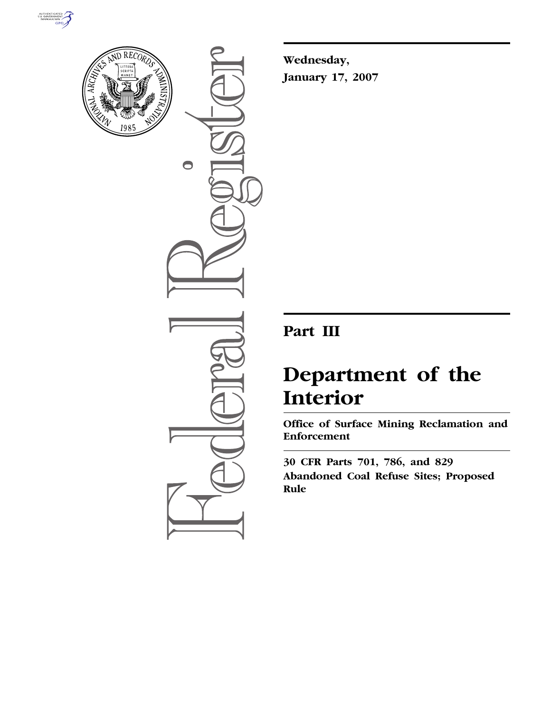



 $\bigcirc$ 

**Wednesday, January 17, 2007** 

# **Part III**

# **Department of the Interior**

**Office of Surface Mining Reclamation and Enforcement** 

**30 CFR Parts 701, 786, and 829 Abandoned Coal Refuse Sites; Proposed Rule**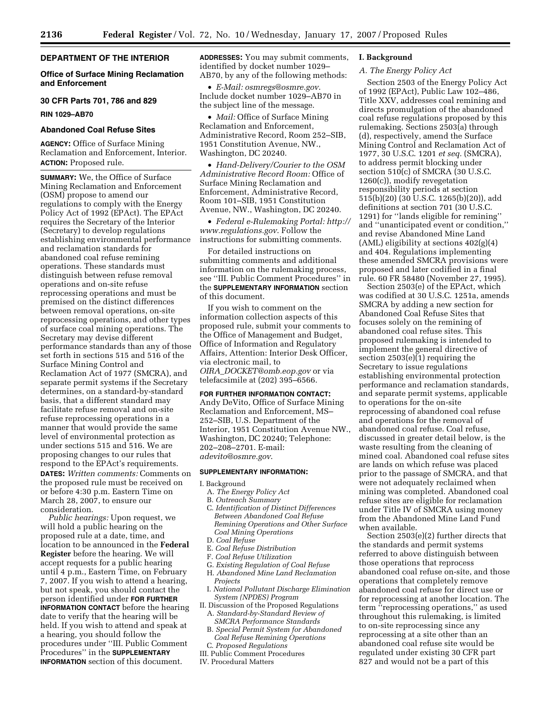#### **DEPARTMENT OF THE INTERIOR**

# **Office of Surface Mining Reclamation and Enforcement**

#### **30 CFR Parts 701, 786 and 829**

**RIN 1029–AB70** 

#### **Abandoned Coal Refuse Sites**

**AGENCY:** Office of Surface Mining Reclamation and Enforcement, Interior. **ACTION:** Proposed rule.

**SUMMARY:** We, the Office of Surface Mining Reclamation and Enforcement (OSM) propose to amend our regulations to comply with the Energy Policy Act of 1992 (EPAct). The EPAct requires the Secretary of the Interior (Secretary) to develop regulations establishing environmental performance and reclamation standards for abandoned coal refuse remining operations. These standards must distinguish between refuse removal operations and on-site refuse reprocessing operations and must be premised on the distinct differences between removal operations, on-site reprocessing operations, and other types of surface coal mining operations. The Secretary may devise different performance standards than any of those set forth in sections 515 and 516 of the Surface Mining Control and Reclamation Act of 1977 (SMCRA), and separate permit systems if the Secretary determines, on a standard-by-standard basis, that a different standard may facilitate refuse removal and on-site refuse reprocessing operations in a manner that would provide the same level of environmental protection as under sections 515 and 516. We are proposing changes to our rules that respond to the EPAct's requirements. **DATES:** *Written comments:* Comments on the proposed rule must be received on or before 4:30 p.m. Eastern Time on March 28, 2007, to ensure our consideration.

*Public hearings:* Upon request, we will hold a public hearing on the proposed rule at a date, time, and location to be announced in the **Federal Register** before the hearing. We will accept requests for a public hearing until 4 p.m., Eastern Time, on February 7, 2007. If you wish to attend a hearing, but not speak, you should contact the person identified under **FOR FURTHER INFORMATION CONTACT** before the hearing date to verify that the hearing will be held. If you wish to attend and speak at a hearing, you should follow the procedures under ''III. Public Comment Procedures'' in the **SUPPLEMENTARY INFORMATION** section of this document.

**ADDRESSES:** You may submit comments, identified by docket number 1029– AB70, by any of the following methods:

• *E-Mail: osmregs@osmre.gov*. Include docket number 1029–AB70 in the subject line of the message.

• *Mail:* Office of Surface Mining Reclamation and Enforcement, Administrative Record, Room 252–SIB, 1951 Constitution Avenue, NW., Washington, DC 20240.

• *Hand-Delivery/Courier to the OSM Administrative Record Room:* Office of Surface Mining Reclamation and Enforcement, Administrative Record, Room 101–SIB, 1951 Constitution Avenue, NW., Washington, DC 20240.

• *Federal e-Rulemaking Portal: http:// www.regulations.gov*. Follow the instructions for submitting comments.

For detailed instructions on submitting comments and additional information on the rulemaking process, see ''III. Public Comment Procedures'' in the **SUPPLEMENTARY INFORMATION** section of this document.

If you wish to comment on the information collection aspects of this proposed rule, submit your comments to the Office of Management and Budget, Office of Information and Regulatory Affairs, Attention: Interior Desk Officer, via electronic mail, to *OIRA*\_*DOCKET@omb.eop.gov* or via telefacsimile at (202) 395–6566.

#### **FOR FURTHER INFORMATION CONTACT:**

Andy DeVito, Office of Surface Mining Reclamation and Enforcement, MS– 252–SIB, U.S. Department of the Interior, 1951 Constitution Avenue NW., Washington, DC 20240; Telephone: 202–208–2701. E-mail: *adevito@osmre.gov*.

#### **SUPPLEMENTARY INFORMATION:**

- I. Background
	- A. *The Energy Policy Act*
	- B. *Outreach Summary*
	- C. *Identification of Distinct Differences Between Abandoned Coal Refuse Remining Operations and Other Surface Coal Mining Operations*
	- D. *Coal Refuse*
	- E. *Coal Refuse Distribution*
	- F. *Coal Refuse Utilization*
	- G. *Existing Regulation of Coal Refuse*
	- H. *Abandoned Mine Land Reclamation Projects*
- I. *National Pollutant Discharge Elimination System (NPDES) Program*
- II. Discussion of the Proposed Regulations A. *Standard-by-Standard Review of SMCRA Performance Standards*
- B. *Special Permit System for Abandoned Coal Refuse Remining Operations*
- C. *Proposed Regulations*
- III. Public Comment Procedures
- IV. Procedural Matters

#### **I. Background**

# *A. The Energy Policy Act*

Section 2503 of the Energy Policy Act of 1992 (EPAct), Public Law 102–486, Title XXV, addresses coal remining and directs promulgation of the abandoned coal refuse regulations proposed by this rulemaking. Sections 2503(a) through (d), respectively, amend the Surface Mining Control and Reclamation Act of 1977, 30 U.S.C. 1201 *et seq.* (SMCRA), to address permit blocking under section 510(c) of SMCRA (30 U.S.C. 1260(c)), modify revegetation responsibility periods at section 515(b)(20) (30 U.S.C. 1265(b)(20)), add definitions at section 701 (30 U.S.C. 1291) for ''lands eligible for remining'' and ''unanticipated event or condition,'' and revise Abandoned Mine Land  $(AML)$  eligibility at sections  $402(g)(4)$ and 404. Regulations implementing these amended SMCRA provisions were proposed and later codified in a final rule. 60 FR 58480 (November 27, 1995).

Section 2503(e) of the EPAct, which was codified at 30 U.S.C. 1251a, amends SMCRA by adding a new section for Abandoned Coal Refuse Sites that focuses solely on the remining of abandoned coal refuse sites. This proposed rulemaking is intended to implement the general directive of section 2503(e)(1) requiring the Secretary to issue regulations establishing environmental protection performance and reclamation standards, and separate permit systems, applicable to operations for the on-site reprocessing of abandoned coal refuse and operations for the removal of abandoned coal refuse. Coal refuse, discussed in greater detail below, is the waste resulting from the cleaning of mined coal. Abandoned coal refuse sites are lands on which refuse was placed prior to the passage of SMCRA, and that were not adequately reclaimed when mining was completed. Abandoned coal refuse sites are eligible for reclamation under Title IV of SMCRA using money from the Abandoned Mine Land Fund when available.

Section 2503(e)(2) further directs that the standards and permit systems referred to above distinguish between those operations that reprocess abandoned coal refuse on-site, and those operations that completely remove abandoned coal refuse for direct use or for reprocessing at another location. The term ''reprocessing operations,'' as used throughout this rulemaking, is limited to on-site reprocessing since any reprocessing at a site other than an abandoned coal refuse site would be regulated under existing 30 CFR part 827 and would not be a part of this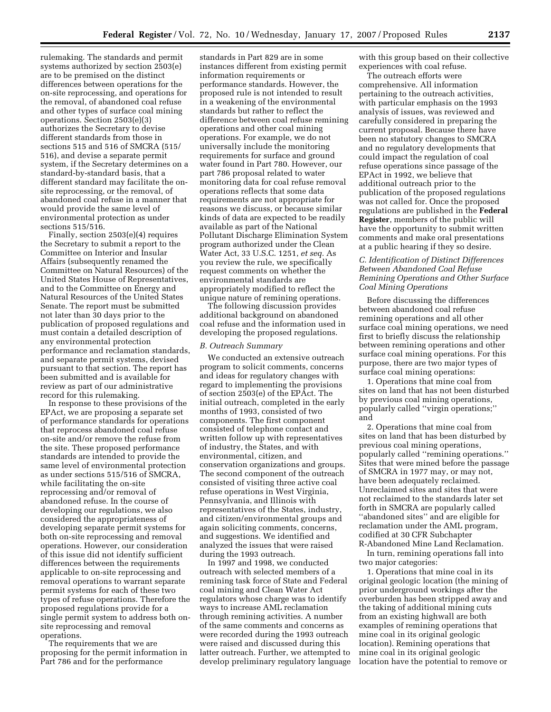rulemaking. The standards and permit systems authorized by section 2503(e) are to be premised on the distinct differences between operations for the on-site reprocessing, and operations for the removal, of abandoned coal refuse and other types of surface coal mining operations. Section 2503(e)(3) authorizes the Secretary to devise different standards from those in sections 515 and 516 of SMCRA (515/ 516), and devise a separate permit system, if the Secretary determines on a standard-by-standard basis, that a different standard may facilitate the onsite reprocessing, or the removal, of abandoned coal refuse in a manner that would provide the same level of environmental protection as under sections 515/516.

Finally, section 2503(e)(4) requires the Secretary to submit a report to the Committee on Interior and Insular Affairs (subsequently renamed the Committee on Natural Resources) of the United States House of Representatives, and to the Committee on Energy and Natural Resources of the United States Senate. The report must be submitted not later than 30 days prior to the publication of proposed regulations and must contain a detailed description of any environmental protection performance and reclamation standards, and separate permit systems, devised pursuant to that section. The report has been submitted and is available for review as part of our administrative record for this rulemaking.

In response to these provisions of the EPAct, we are proposing a separate set of performance standards for operations that reprocess abandoned coal refuse on-site and/or remove the refuse from the site. These proposed performance standards are intended to provide the same level of environmental protection as under sections 515/516 of SMCRA, while facilitating the on-site reprocessing and/or removal of abandoned refuse. In the course of developing our regulations, we also considered the appropriateness of developing separate permit systems for both on-site reprocessing and removal operations. However, our consideration of this issue did not identify sufficient differences between the requirements applicable to on-site reprocessing and removal operations to warrant separate permit systems for each of these two types of refuse operations. Therefore the proposed regulations provide for a single permit system to address both onsite reprocessing and removal operations.

The requirements that we are proposing for the permit information in Part 786 and for the performance

standards in Part 829 are in some instances different from existing permit information requirements or performance standards. However, the proposed rule is not intended to result in a weakening of the environmental standards but rather to reflect the difference between coal refuse remining operations and other coal mining operations. For example, we do not universally include the monitoring requirements for surface and ground water found in Part 780. However, our part 786 proposal related to water monitoring data for coal refuse removal operations reflects that some data requirements are not appropriate for reasons we discuss, or because similar kinds of data are expected to be readily available as part of the National Pollutant Discharge Elimination System program authorized under the Clean Water Act, 33 U.S.C. 1251, *et seq.* As you review the rule, we specifically request comments on whether the environmental standards are appropriately modified to reflect the unique nature of remining operations.

The following discussion provides additional background on abandoned coal refuse and the information used in developing the proposed regulations.

#### *B. Outreach Summary*

We conducted an extensive outreach program to solicit comments, concerns and ideas for regulatory changes with regard to implementing the provisions of section 2503(e) of the EPAct. The initial outreach, completed in the early months of 1993, consisted of two components. The first component consisted of telephone contact and written follow up with representatives of industry, the States, and with environmental, citizen, and conservation organizations and groups. The second component of the outreach consisted of visiting three active coal refuse operations in West Virginia, Pennsylvania, and Illinois with representatives of the States, industry, and citizen/environmental groups and again soliciting comments, concerns, and suggestions. We identified and analyzed the issues that were raised during the 1993 outreach.

In 1997 and 1998, we conducted outreach with selected members of a remining task force of State and Federal coal mining and Clean Water Act regulators whose charge was to identify ways to increase AML reclamation through remining activities. A number of the same comments and concerns as were recorded during the 1993 outreach were raised and discussed during this latter outreach. Further, we attempted to develop preliminary regulatory language with this group based on their collective experiences with coal refuse.

The outreach efforts were comprehensive. All information pertaining to the outreach activities, with particular emphasis on the 1993 analysis of issues, was reviewed and carefully considered in preparing the current proposal. Because there have been no statutory changes to SMCRA and no regulatory developments that could impact the regulation of coal refuse operations since passage of the EPAct in 1992, we believe that additional outreach prior to the publication of the proposed regulations was not called for. Once the proposed regulations are published in the **Federal Register**, members of the public will have the opportunity to submit written comments and make oral presentations at a public hearing if they so desire.

# *C. Identification of Distinct Differences Between Abandoned Coal Refuse Remining Operations and Other Surface Coal Mining Operations*

Before discussing the differences between abandoned coal refuse remining operations and all other surface coal mining operations, we need first to briefly discuss the relationship between remining operations and other surface coal mining operations. For this purpose, there are two major types of surface coal mining operations:

1. Operations that mine coal from sites on land that has not been disturbed by previous coal mining operations, popularly called ''virgin operations;'' and

2. Operations that mine coal from sites on land that has been disturbed by previous coal mining operations, popularly called ''remining operations.'' Sites that were mined before the passage of SMCRA in 1977 may, or may not, have been adequately reclaimed. Unreclaimed sites and sites that were not reclaimed to the standards later set forth in SMCRA are popularly called ''abandoned sites'' and are eligible for reclamation under the AML program, codified at 30 CFR Subchapter R-Abandoned Mine Land Reclamation.

In turn, remining operations fall into two major categories:

1. Operations that mine coal in its original geologic location (the mining of prior underground workings after the overburden has been stripped away and the taking of additional mining cuts from an existing highwall are both examples of remining operations that mine coal in its original geologic location). Remining operations that mine coal in its original geologic location have the potential to remove or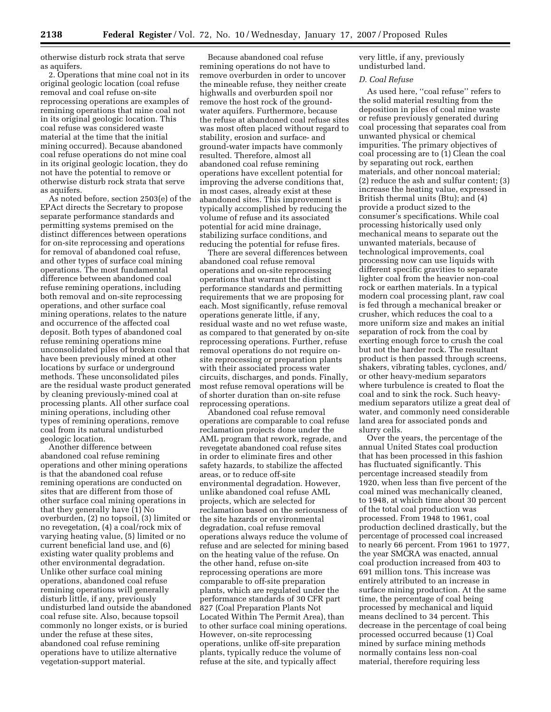otherwise disturb rock strata that serve as aquifers.

2. Operations that mine coal not in its original geologic location (coal refuse removal and coal refuse on-site reprocessing operations are examples of remining operations that mine coal not in its original geologic location. This coal refuse was considered waste material at the time that the initial mining occurred). Because abandoned coal refuse operations do not mine coal in its original geologic location, they do not have the potential to remove or otherwise disturb rock strata that serve as aquifers.

As noted before, section 2503(e) of the EPAct directs the Secretary to propose separate performance standards and permitting systems premised on the distinct differences between operations for on-site reprocessing and operations for removal of abandoned coal refuse, and other types of surface coal mining operations. The most fundamental difference between abandoned coal refuse remining operations, including both removal and on-site reprocessing operations, and other surface coal mining operations, relates to the nature and occurrence of the affected coal deposit. Both types of abandoned coal refuse remining operations mine unconsolidated piles of broken coal that have been previously mined at other locations by surface or underground methods. These unconsolidated piles are the residual waste product generated by cleaning previously-mined coal at processing plants. All other surface coal mining operations, including other types of remining operations, remove coal from its natural undisturbed geologic location.

Another difference between abandoned coal refuse remining operations and other mining operations is that the abandoned coal refuse remining operations are conducted on sites that are different from those of other surface coal mining operations in that they generally have (1) No overburden, (2) no topsoil, (3) limited or no revegetation, (4) a coal/rock mix of varying heating value, (5) limited or no current beneficial land use, and (6) existing water quality problems and other environmental degradation. Unlike other surface coal mining operations, abandoned coal refuse remining operations will generally disturb little, if any, previously undisturbed land outside the abandoned coal refuse site. Also, because topsoil commonly no longer exists, or is buried under the refuse at these sites, abandoned coal refuse remining operations have to utilize alternative vegetation-support material.

Because abandoned coal refuse remining operations do not have to remove overburden in order to uncover the mineable refuse, they neither create highwalls and overburden spoil nor remove the host rock of the groundwater aquifers. Furthermore, because the refuse at abandoned coal refuse sites was most often placed without regard to stability, erosion and surface- and ground-water impacts have commonly resulted. Therefore, almost all abandoned coal refuse remining operations have excellent potential for improving the adverse conditions that, in most cases, already exist at these abandoned sites. This improvement is typically accomplished by reducing the volume of refuse and its associated potential for acid mine drainage, stabilizing surface conditions, and reducing the potential for refuse fires.

There are several differences between abandoned coal refuse removal operations and on-site reprocessing operations that warrant the distinct performance standards and permitting requirements that we are proposing for each. Most significantly, refuse removal operations generate little, if any, residual waste and no wet refuse waste, as compared to that generated by on-site reprocessing operations. Further, refuse removal operations do not require onsite reprocessing or preparation plants with their associated process water circuits, discharges, and ponds. Finally, most refuse removal operations will be of shorter duration than on-site refuse reprocessing operations.

Abandoned coal refuse removal operations are comparable to coal refuse reclamation projects done under the AML program that rework, regrade, and revegetate abandoned coal refuse sites in order to eliminate fires and other safety hazards, to stabilize the affected areas, or to reduce off-site environmental degradation. However, unlike abandoned coal refuse AML projects, which are selected for reclamation based on the seriousness of the site hazards or environmental degradation, coal refuse removal operations always reduce the volume of refuse and are selected for mining based on the heating value of the refuse. On the other hand, refuse on-site reprocessing operations are more comparable to off-site preparation plants, which are regulated under the performance standards of 30 CFR part 827 (Coal Preparation Plants Not Located Within The Permit Area), than to other surface coal mining operations. However, on-site reprocessing operations, unlike off-site preparation plants, typically reduce the volume of refuse at the site, and typically affect

very little, if any, previously undisturbed land.

#### *D. Coal Refuse*

As used here, ''coal refuse'' refers to the solid material resulting from the deposition in piles of coal mine waste or refuse previously generated during coal processing that separates coal from unwanted physical or chemical impurities. The primary objectives of coal processing are to (1) Clean the coal by separating out rock, earthen materials, and other noncoal material; (2) reduce the ash and sulfur content; (3) increase the heating value, expressed in British thermal units (Btu); and (4) provide a product sized to the consumer's specifications. While coal processing historically used only mechanical means to separate out the unwanted materials, because of technological improvements, coal processing now can use liquids with different specific gravities to separate lighter coal from the heavier non-coal rock or earthen materials. In a typical modern coal processing plant, raw coal is fed through a mechanical breaker or crusher, which reduces the coal to a more uniform size and makes an initial separation of rock from the coal by exerting enough force to crush the coal but not the harder rock. The resultant product is then passed through screens, shakers, vibrating tables, cyclones, and/ or other heavy-medium separators where turbulence is created to float the coal and to sink the rock. Such heavymedium separators utilize a great deal of water, and commonly need considerable land area for associated ponds and slurry cells.

Over the years, the percentage of the annual United States coal production that has been processed in this fashion has fluctuated significantly. This percentage increased steadily from 1920, when less than five percent of the coal mined was mechanically cleaned, to 1948, at which time about 30 percent of the total coal production was processed. From 1948 to 1961, coal production declined drastically, but the percentage of processed coal increased to nearly 66 percent. From 1961 to 1977, the year SMCRA was enacted, annual coal production increased from 403 to 691 million tons. This increase was entirely attributed to an increase in surface mining production. At the same time, the percentage of coal being processed by mechanical and liquid means declined to 34 percent. This decrease in the percentage of coal being processed occurred because (1) Coal mined by surface mining methods normally contains less non-coal material, therefore requiring less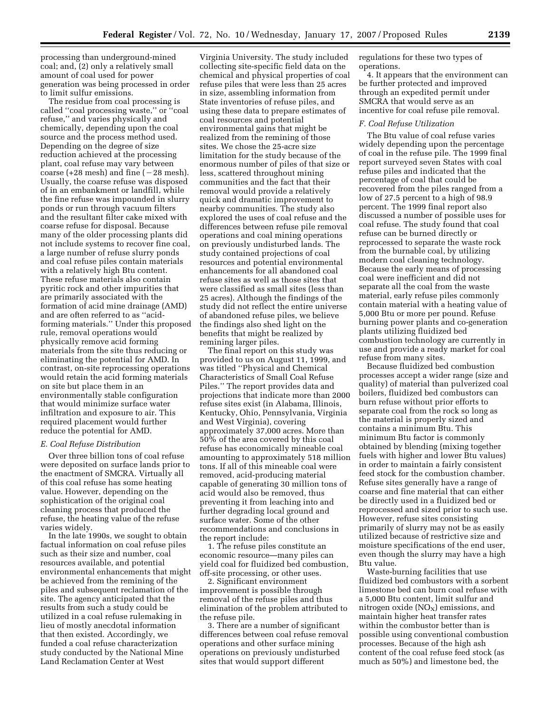processing than underground-mined coal; and, (2) only a relatively small amount of coal used for power generation was being processed in order to limit sulfur emissions.

The residue from coal processing is called ''coal processing waste,'' or ''coal refuse,'' and varies physically and chemically, depending upon the coal source and the process method used. Depending on the degree of size reduction achieved at the processing plant, coal refuse may vary between coarse (+28 mesh) and fine ( $-28$  mesh). Usually, the coarse refuse was disposed of in an embankment or landfill, while the fine refuse was impounded in slurry ponds or run through vacuum filters and the resultant filter cake mixed with coarse refuse for disposal. Because many of the older processing plants did not include systems to recover fine coal, a large number of refuse slurry ponds and coal refuse piles contain materials with a relatively high Btu content. These refuse materials also contain pyritic rock and other impurities that are primarily associated with the formation of acid mine drainage (AMD) and are often referred to as ''acidforming materials.'' Under this proposed rule, removal operations would physically remove acid forming materials from the site thus reducing or eliminating the potential for AMD. In contrast, on-site reprocessing operations would retain the acid forming materials on site but place them in an environmentally stable configuration that would minimize surface water infiltration and exposure to air. This required placement would further reduce the potential for AMD.

## *E. Coal Refuse Distribution*

Over three billion tons of coal refuse were deposited on surface lands prior to the enactment of SMCRA. Virtually all of this coal refuse has some heating value. However, depending on the sophistication of the original coal cleaning process that produced the refuse, the heating value of the refuse varies widely.

In the late 1990s, we sought to obtain factual information on coal refuse piles such as their size and number, coal resources available, and potential environmental enhancements that might be achieved from the remining of the piles and subsequent reclamation of the site. The agency anticipated that the results from such a study could be utilized in a coal refuse rulemaking in lieu of mostly anecdotal information that then existed. Accordingly, we funded a coal refuse characterization study conducted by the National Mine Land Reclamation Center at West

Virginia University. The study included collecting site-specific field data on the chemical and physical properties of coal refuse piles that were less than 25 acres in size, assembling information from State inventories of refuse piles, and using these data to prepare estimates of coal resources and potential environmental gains that might be realized from the remining of those sites. We chose the 25-acre size limitation for the study because of the enormous number of piles of that size or less, scattered throughout mining communities and the fact that their removal would provide a relatively quick and dramatic improvement to nearby communities. The study also explored the uses of coal refuse and the differences between refuse pile removal operations and coal mining operations on previously undisturbed lands. The study contained projections of coal resources and potential environmental enhancements for all abandoned coal refuse sites as well as those sites that were classified as small sites (less than 25 acres). Although the findings of the study did not reflect the entire universe of abandoned refuse piles, we believe the findings also shed light on the benefits that might be realized by remining larger piles.

The final report on this study was provided to us on August 11, 1999, and was titled ''Physical and Chemical Characteristics of Small Coal Refuse Piles.'' The report provides data and projections that indicate more than 2000 refuse sites exist (in Alabama, Illinois, Kentucky, Ohio, Pennsylvania, Virginia and West Virginia), covering approximately 37,000 acres. More than 50% of the area covered by this coal refuse has economically mineable coal amounting to approximately 518 million tons. If all of this mineable coal were removed, acid-producing material capable of generating 30 million tons of acid would also be removed, thus preventing it from leaching into and further degrading local ground and surface water. Some of the other recommendations and conclusions in the report include:

1. The refuse piles constitute an economic resource—many piles can yield coal for fluidized bed combustion, off-site processing, or other uses.

2. Significant environment improvement is possible through removal of the refuse piles and thus elimination of the problem attributed to the refuse pile.

3. There are a number of significant differences between coal refuse removal operations and other surface mining operations on previously undisturbed sites that would support different

regulations for these two types of operations.

4. It appears that the environment can be further protected and improved through an expedited permit under SMCRA that would serve as an incentive for coal refuse pile removal.

#### *F. Coal Refuse Utilization*

The Btu value of coal refuse varies widely depending upon the percentage of coal in the refuse pile. The 1999 final report surveyed seven States with coal refuse piles and indicated that the percentage of coal that could be recovered from the piles ranged from a low of 27.5 percent to a high of 98.9 percent. The 1999 final report also discussed a number of possible uses for coal refuse. The study found that coal refuse can be burned directly or reprocessed to separate the waste rock from the burnable coal, by utilizing modern coal cleaning technology. Because the early means of processing coal were inefficient and did not separate all the coal from the waste material, early refuse piles commonly contain material with a heating value of 5,000 Btu or more per pound. Refuse burning power plants and co-generation plants utilizing fluidized bed combustion technology are currently in use and provide a ready market for coal refuse from many sites.

Because fluidized bed combustion processes accept a wider range (size and quality) of material than pulverized coal boilers, fluidized bed combustors can burn refuse without prior efforts to separate coal from the rock so long as the material is properly sized and contains a minimum Btu. This minimum Btu factor is commonly obtained by blending (mixing together fuels with higher and lower Btu values) in order to maintain a fairly consistent feed stock for the combustion chamber. Refuse sites generally have a range of coarse and fine material that can either be directly used in a fluidized bed or reprocessed and sized prior to such use. However, refuse sites consisting primarily of slurry may not be as easily utilized because of restrictive size and moisture specifications of the end user, even though the slurry may have a high Btu value.

Waste-burning facilities that use fluidized bed combustors with a sorbent limestone bed can burn coal refuse with a 5,000 Btu content, limit sulfur and nitrogen oxide  $(NO<sub>X</sub>)$  emissions, and maintain higher heat transfer rates within the combustor better than is possible using conventional combustion processes. Because of the high ash content of the coal refuse feed stock (as much as 50%) and limestone bed, the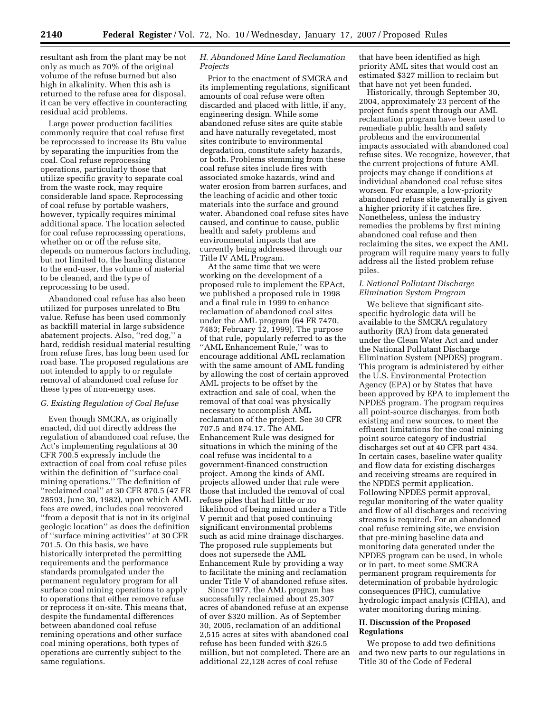resultant ash from the plant may be not only as much as 70% of the original volume of the refuse burned but also high in alkalinity. When this ash is returned to the refuse area for disposal, it can be very effective in counteracting residual acid problems.

Large power production facilities commonly require that coal refuse first be reprocessed to increase its Btu value by separating the impurities from the coal. Coal refuse reprocessing operations, particularly those that utilize specific gravity to separate coal from the waste rock, may require considerable land space. Reprocessing of coal refuse by portable washers, however, typically requires minimal additional space. The location selected for coal refuse reprocessing operations, whether on or off the refuse site, depends on numerous factors including, but not limited to, the hauling distance to the end-user, the volume of material to be cleaned, and the type of reprocessing to be used.

Abandoned coal refuse has also been utilized for purposes unrelated to Btu value. Refuse has been used commonly as backfill material in large subsidence abatement projects. Also, ''red dog,'' a hard, reddish residual material resulting from refuse fires, has long been used for road base. The proposed regulations are not intended to apply to or regulate removal of abandoned coal refuse for these types of non-energy uses.

#### *G. Existing Regulation of Coal Refuse*

Even though SMCRA, as originally enacted, did not directly address the regulation of abandoned coal refuse, the Act's implementing regulations at 30 CFR 700.5 expressly include the extraction of coal from coal refuse piles within the definition of ''surface coal mining operations.'' The definition of ''reclaimed coal'' at 30 CFR 870.5 (47 FR 28593, June 30, 1982), upon which AML fees are owed, includes coal recovered ''from a deposit that is not in its original geologic location'' as does the definition of ''surface mining activities'' at 30 CFR 701.5. On this basis, we have historically interpreted the permitting requirements and the performance standards promulgated under the permanent regulatory program for all surface coal mining operations to apply to operations that either remove refuse or reprocess it on-site. This means that, despite the fundamental differences between abandoned coal refuse remining operations and other surface coal mining operations, both types of operations are currently subject to the same regulations.

# *H. Abandoned Mine Land Reclamation Projects*

Prior to the enactment of SMCRA and its implementing regulations, significant amounts of coal refuse were often discarded and placed with little, if any, engineering design. While some abandoned refuse sites are quite stable and have naturally revegetated, most sites contribute to environmental degradation, constitute safety hazards, or both. Problems stemming from these coal refuse sites include fires with associated smoke hazards, wind and water erosion from barren surfaces, and the leaching of acidic and other toxic materials into the surface and ground water. Abandoned coal refuse sites have caused, and continue to cause, public health and safety problems and environmental impacts that are currently being addressed through our Title IV AML Program.

At the same time that we were working on the development of a proposed rule to implement the EPAct, we published a proposed rule in 1998 and a final rule in 1999 to enhance reclamation of abandoned coal sites under the AML program (64 FR 7470, 7483; February 12, 1999). The purpose of that rule, popularly referred to as the ''AML Enhancement Rule,'' was to encourage additional AML reclamation with the same amount of AML funding by allowing the cost of certain approved AML projects to be offset by the extraction and sale of coal, when the removal of that coal was physically necessary to accomplish AML reclamation of the project. See 30 CFR 707.5 and 874.17. The AML Enhancement Rule was designed for situations in which the mining of the coal refuse was incidental to a government-financed construction project. Among the kinds of AML projects allowed under that rule were those that included the removal of coal refuse piles that had little or no likelihood of being mined under a Title V permit and that posed continuing significant environmental problems such as acid mine drainage discharges. The proposed rule supplements but does not supersede the AML Enhancement Rule by providing a way to facilitate the mining and reclamation under Title V of abandoned refuse sites.

Since 1977, the AML program has successfully reclaimed about 25,307 acres of abandoned refuse at an expense of over \$320 million. As of September 30, 2005, reclamation of an additional 2,515 acres at sites with abandoned coal refuse has been funded with \$26.5 million, but not completed. There are an additional 22,128 acres of coal refuse

that have been identified as high priority AML sites that would cost an estimated \$327 million to reclaim but that have not yet been funded.

Historically, through September 30, 2004, approximately 23 percent of the project funds spent through our AML reclamation program have been used to remediate public health and safety problems and the environmental impacts associated with abandoned coal refuse sites. We recognize, however, that the current projections of future AML projects may change if conditions at individual abandoned coal refuse sites worsen. For example, a low-priority abandoned refuse site generally is given a higher priority if it catches fire. Nonetheless, unless the industry remedies the problems by first mining abandoned coal refuse and then reclaiming the sites, we expect the AML program will require many years to fully address all the listed problem refuse piles.

#### *I. National Pollutant Discharge Elimination System Program*

We believe that significant sitespecific hydrologic data will be available to the SMCRA regulatory authority (RA) from data generated under the Clean Water Act and under the National Pollutant Discharge Elimination System (NPDES) program. This program is administered by either the U.S. Environmental Protection Agency (EPA) or by States that have been approved by EPA to implement the NPDES program. The program requires all point-source discharges, from both existing and new sources, to meet the effluent limitations for the coal mining point source category of industrial discharges set out at 40 CFR part 434. In certain cases, baseline water quality and flow data for existing discharges and receiving streams are required in the NPDES permit application. Following NPDES permit approval, regular monitoring of the water quality and flow of all discharges and receiving streams is required. For an abandoned coal refuse remining site, we envision that pre-mining baseline data and monitoring data generated under the NPDES program can be used, in whole or in part, to meet some SMCRA permanent program requirements for determination of probable hydrologic consequences (PHC), cumulative hydrologic impact analysis (CHIA), and water monitoring during mining.

#### **II. Discussion of the Proposed Regulations**

We propose to add two definitions and two new parts to our regulations in Title 30 of the Code of Federal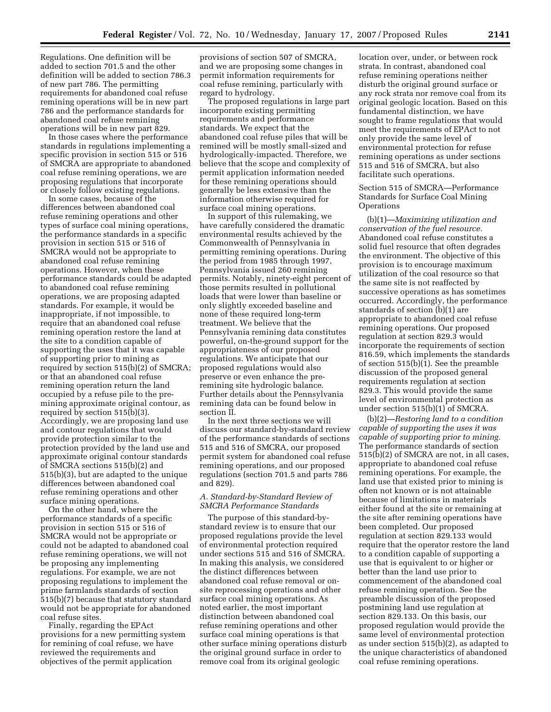Regulations. One definition will be added to section 701.5 and the other definition will be added to section 786.3 of new part 786. The permitting requirements for abandoned coal refuse remining operations will be in new part 786 and the performance standards for abandoned coal refuse remining operations will be in new part 829.

In those cases where the performance standards in regulations implementing a specific provision in section 515 or 516 of SMCRA are appropriate to abandoned coal refuse remining operations, we are proposing regulations that incorporate or closely follow existing regulations.

In some cases, because of the differences between abandoned coal refuse remining operations and other types of surface coal mining operations, the performance standards in a specific provision in section 515 or 516 of SMCRA would not be appropriate to abandoned coal refuse remining operations. However, when these performance standards could be adapted to abandoned coal refuse remining operations, we are proposing adapted standards. For example, it would be inappropriate, if not impossible, to require that an abandoned coal refuse remining operation restore the land at the site to a condition capable of supporting the uses that it was capable of supporting prior to mining as required by section 515(b)(2) of SMCRA; or that an abandoned coal refuse remining operation return the land occupied by a refuse pile to the premining approximate original contour, as required by section 515(b)(3). Accordingly, we are proposing land use and contour regulations that would provide protection similar to the protection provided by the land use and approximate original contour standards of SMCRA sections 515(b)(2) and 515(b)(3), but are adapted to the unique differences between abandoned coal refuse remining operations and other surface mining operations.

On the other hand, where the performance standards of a specific provision in section 515 or 516 of SMCRA would not be appropriate or could not be adapted to abandoned coal refuse remining operations, we will not be proposing any implementing regulations. For example, we are not proposing regulations to implement the prime farmlands standards of section 515(b)(7) because that statutory standard would not be appropriate for abandoned coal refuse sites.

Finally, regarding the EPAct provisions for a new permitting system for remining of coal refuse, we have reviewed the requirements and objectives of the permit application

provisions of section 507 of SMCRA, and we are proposing some changes in permit information requirements for coal refuse remining, particularly with regard to hydrology.

The proposed regulations in large part incorporate existing permitting requirements and performance standards. We expect that the abandoned coal refuse piles that will be remined will be mostly small-sized and hydrologically-impacted. Therefore, we believe that the scope and complexity of permit application information needed for these remining operations should generally be less extensive than the information otherwise required for surface coal mining operations.

In support of this rulemaking, we have carefully considered the dramatic environmental results achieved by the Commonwealth of Pennsylvania in permitting remining operations. During the period from 1985 through 1997, Pennsylvania issued 260 remining permits. Notably, ninety-eight percent of those permits resulted in pollutional loads that were lower than baseline or only slightly exceeded baseline and none of these required long-term treatment. We believe that the Pennsylvania remining data constitutes powerful, on-the-ground support for the appropriateness of our proposed regulations. We anticipate that our proposed regulations would also preserve or even enhance the preremining site hydrologic balance. Further details about the Pennsylvania remining data can be found below in section II.

In the next three sections we will discuss our standard-by-standard review of the performance standards of sections 515 and 516 of SMCRA, our proposed permit system for abandoned coal refuse remining operations, and our proposed regulations (section 701.5 and parts 786 and 829).

# *A. Standard-by-Standard Review of SMCRA Performance Standards*

The purpose of this standard-bystandard review is to ensure that our proposed regulations provide the level of environmental protection required under sections 515 and 516 of SMCRA. In making this analysis, we considered the distinct differences between abandoned coal refuse removal or onsite reprocessing operations and other surface coal mining operations. As noted earlier, the most important distinction between abandoned coal refuse remining operations and other surface coal mining operations is that other surface mining operations disturb the original ground surface in order to remove coal from its original geologic

location over, under, or between rock strata. In contrast, abandoned coal refuse remining operations neither disturb the original ground surface or any rock strata nor remove coal from its original geologic location. Based on this fundamental distinction, we have sought to frame regulations that would meet the requirements of EPAct to not only provide the same level of environmental protection for refuse remining operations as under sections 515 and 516 of SMCRA, but also facilitate such operations.

## Section 515 of SMCRA—Performance Standards for Surface Coal Mining **Operations**

(b)(1)—*Maximizing utilization and conservation of the fuel resource.*  Abandoned coal refuse constitutes a solid fuel resource that often degrades the environment. The objective of this provision is to encourage maximum utilization of the coal resource so that the same site is not reaffected by successive operations as has sometimes occurred. Accordingly, the performance standards of section (b)(1) are appropriate to abandoned coal refuse remining operations. Our proposed regulation at section 829.3 would incorporate the requirements of section 816.59, which implements the standards of section 515(b)(1). See the preamble discussion of the proposed general requirements regulation at section 829.3. This would provide the same level of environmental protection as under section 515(b)(1) of SMCRA.

(b)(2)—*Restoring land to a condition capable of supporting the uses it was capable of supporting prior to mining.*  The performance standards of section 515(b)(2) of SMCRA are not, in all cases, appropriate to abandoned coal refuse remining operations. For example, the land use that existed prior to mining is often not known or is not attainable because of limitations in materials either found at the site or remaining at the site after remining operations have been completed. Our proposed regulation at section 829.133 would require that the operator restore the land to a condition capable of supporting a use that is equivalent to or higher or better than the land use prior to commencement of the abandoned coal refuse remining operation. See the preamble discussion of the proposed postmining land use regulation at section 829.133. On this basis, our proposed regulation would provide the same level of environmental protection as under section 515(b)(2), as adapted to the unique characteristics of abandoned coal refuse remining operations.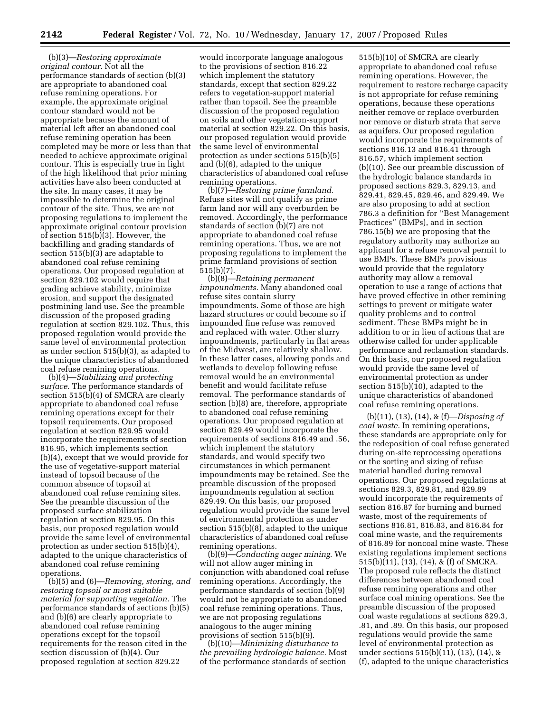(b)(3)—*Restoring approximate original contour.* Not all the performance standards of section (b)(3) are appropriate to abandoned coal refuse remining operations. For example, the approximate original contour standard would not be appropriate because the amount of material left after an abandoned coal refuse remining operation has been completed may be more or less than that needed to achieve approximate original contour. This is especially true in light of the high likelihood that prior mining activities have also been conducted at the site. In many cases, it may be impossible to determine the original contour of the site. Thus, we are not proposing regulations to implement the approximate original contour provision of section 515(b)(3). However, the backfilling and grading standards of section 515(b)(3) are adaptable to abandoned coal refuse remining operations. Our proposed regulation at section 829.102 would require that grading achieve stability, minimize erosion, and support the designated postmining land use. See the preamble discussion of the proposed grading regulation at section 829.102. Thus, this proposed regulation would provide the same level of environmental protection as under section 515(b)(3), as adapted to the unique characteristics of abandoned coal refuse remining operations.

(b)(4)—*Stabilizing and protecting surface.* The performance standards of section 515(b)(4) of SMCRA are clearly appropriate to abandoned coal refuse remining operations except for their topsoil requirements. Our proposed regulation at section 829.95 would incorporate the requirements of section 816.95, which implements section (b)(4), except that we would provide for the use of vegetative-support material instead of topsoil because of the common absence of topsoil at abandoned coal refuse remining sites. See the preamble discussion of the proposed surface stabilization regulation at section 829.95. On this basis, our proposed regulation would provide the same level of environmental protection as under section 515(b)(4), adapted to the unique characteristics of abandoned coal refuse remining operations.

(b)(5) and (6)—*Removing, storing, and restoring topsoil or most suitable material for supporting vegetation.* The performance standards of sections (b)(5) and (b)(6) are clearly appropriate to abandoned coal refuse remining operations except for the topsoil requirements for the reason cited in the section discussion of (b)(4). Our proposed regulation at section 829.22

would incorporate language analogous to the provisions of section 816.22 which implement the statutory standards, except that section 829.22 refers to vegetation-support material rather than topsoil. See the preamble discussion of the proposed regulation on soils and other vegetation-support material at section 829.22. On this basis, our proposed regulation would provide the same level of environmental protection as under sections 515(b)(5) and (b)(6), adapted to the unique characteristics of abandoned coal refuse remining operations.

(b)(7)—*Restoring prime farmland.*  Refuse sites will not qualify as prime farm land nor will any overburden be removed. Accordingly, the performance standards of section (b)(7) are not appropriate to abandoned coal refuse remining operations. Thus, we are not proposing regulations to implement the prime farmland provisions of section 515(b)(7).

(b)(8)—*Retaining permanent impoundments.* Many abandoned coal refuse sites contain slurry impoundments. Some of those are high hazard structures or could become so if impounded fine refuse was removed and replaced with water. Other slurry impoundments, particularly in flat areas of the Midwest, are relatively shallow. In these latter cases, allowing ponds and wetlands to develop following refuse removal would be an environmental benefit and would facilitate refuse removal. The performance standards of section (b)(8) are, therefore, appropriate to abandoned coal refuse remining operations. Our proposed regulation at section 829.49 would incorporate the requirements of sections 816.49 and .56, which implement the statutory standards, and would specify two circumstances in which permanent impoundments may be retained. See the preamble discussion of the proposed impoundments regulation at section 829.49. On this basis, our proposed regulation would provide the same level of environmental protection as under section 515(b)(8), adapted to the unique characteristics of abandoned coal refuse remining operations.

(b)(9)—*Conducting auger mining.* We will not allow auger mining in conjunction with abandoned coal refuse remining operations. Accordingly, the performance standards of section (b)(9) would not be appropriate to abandoned coal refuse remining operations. Thus, we are not proposing regulations analogous to the auger mining provisions of section 515(b)(9).

(b)(10)—*Minimizing disturbance to the prevailing hydrologic balance.* Most of the performance standards of section

515(b)(10) of SMCRA are clearly appropriate to abandoned coal refuse remining operations. However, the requirement to restore recharge capacity is not appropriate for refuse remining operations, because these operations neither remove or replace overburden nor remove or disturb strata that serve as aquifers. Our proposed regulation would incorporate the requirements of sections 816.13 and 816.41 through 816.57, which implement section (b)(10). See our preamble discussion of the hydrologic balance standards in proposed sections 829.3, 829.13, and 829.41, 829.45, 829.46, and 829.49. We are also proposing to add at section 786.3 a definition for ''Best Management Practices'' (BMPs), and in section 786.15(b) we are proposing that the regulatory authority may authorize an applicant for a refuse removal permit to use BMPs. These BMPs provisions would provide that the regulatory authority may allow a removal operation to use a range of actions that have proved effective in other remining settings to prevent or mitigate water quality problems and to control sediment. These BMPs might be in addition to or in lieu of actions that are otherwise called for under applicable performance and reclamation standards. On this basis, our proposed regulation would provide the same level of environmental protection as under section 515(b)(10), adapted to the unique characteristics of abandoned coal refuse remining operations.

(b)(11), (13), (14), & (f)—*Disposing of coal waste.* In remining operations, these standards are appropriate only for the redeposition of coal refuse generated during on-site reprocessing operations or the sorting and sizing of refuse material handled during removal operations. Our proposed regulations at sections 829.3, 829.81, and 829.89 would incorporate the requirements of section 816.87 for burning and burned waste, most of the requirements of sections 816.81, 816.83, and 816.84 for coal mine waste, and the requirements of 816.89 for noncoal mine waste. These existing regulations implement sections 515(b)(11), (13), (14), & (f) of SMCRA. The proposed rule reflects the distinct differences between abandoned coal refuse remining operations and other surface coal mining operations. See the preamble discussion of the proposed coal waste regulations at sections 829.3, .81, and .89. On this basis, our proposed regulations would provide the same level of environmental protection as under sections 515(b)(11), (13), (14), & (f), adapted to the unique characteristics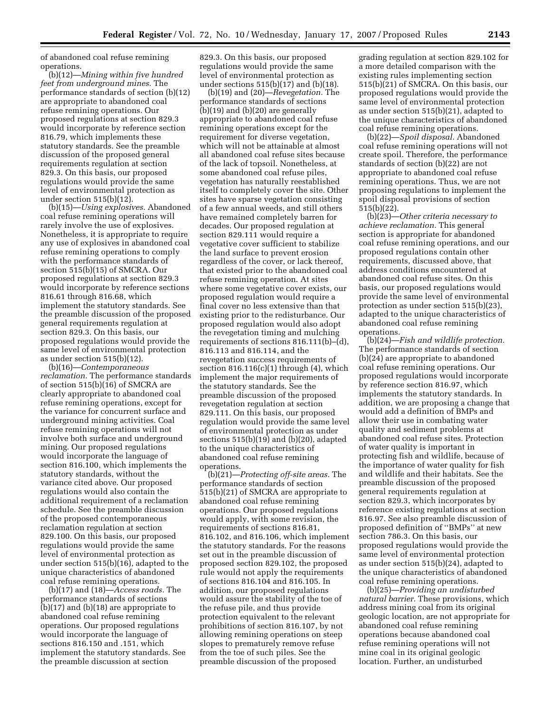of abandoned coal refuse remining operations.

(b)(12)—*Mining within five hundred feet from underground mines.* The performance standards of section (b)(12) are appropriate to abandoned coal refuse remining operations. Our proposed regulations at section 829.3 would incorporate by reference section 816.79, which implements these statutory standards. See the preamble discussion of the proposed general requirements regulation at section 829.3. On this basis, our proposed regulations would provide the same level of environmental protection as under section 515(b)(12).

(b)(15)—*Using explosives.* Abandoned coal refuse remining operations will rarely involve the use of explosives. Nonetheless, it is appropriate to require any use of explosives in abandoned coal refuse remining operations to comply with the performance standards of section 515(b)(15) of SMCRA. Our proposed regulations at section 829.3 would incorporate by reference sections 816.61 through 816.68, which implement the statutory standards. See the preamble discussion of the proposed general requirements regulation at section 829.3. On this basis, our proposed regulations would provide the same level of environmental protection as under section 515(b)(12).

(b)(16)—*Contemporaneous reclamation.* The performance standards of section 515(b)(16) of SMCRA are clearly appropriate to abandoned coal refuse remining operations, except for the variance for concurrent surface and underground mining activities. Coal refuse remining operations will not involve both surface and underground mining. Our proposed regulations would incorporate the language of section 816.100, which implements the statutory standards, without the variance cited above. Our proposed regulations would also contain the additional requirement of a reclamation schedule. See the preamble discussion of the proposed contemporaneous reclamation regulation at section 829.100. On this basis, our proposed regulations would provide the same level of environmental protection as under section 515(b)(16), adapted to the unique characteristics of abandoned coal refuse remining operations.

(b)(17) and (18)—*Access roads.* The performance standards of sections (b)(17) and (b)(18) are appropriate to abandoned coal refuse remining operations. Our proposed regulations would incorporate the language of sections 816.150 and .151, which implement the statutory standards. See the preamble discussion at section

829.3. On this basis, our proposed regulations would provide the same level of environmental protection as under sections 515(b)(17) and (b)(18).

(b)(19) and (20)—*Revegetation.* The performance standards of sections (b)(19) and (b)(20) are generally appropriate to abandoned coal refuse remining operations except for the requirement for diverse vegetation, which will not be attainable at almost all abandoned coal refuse sites because of the lack of topsoil. Nonetheless, at some abandoned coal refuse piles, vegetation has naturally reestablished itself to completely cover the site. Other sites have sparse vegetation consisting of a few annual weeds, and still others have remained completely barren for decades. Our proposed regulation at section 829.111 would require a vegetative cover sufficient to stabilize the land surface to prevent erosion regardless of the cover, or lack thereof, that existed prior to the abandoned coal refuse remining operation. At sites where some vegetative cover exists, our proposed regulation would require a final cover no less extensive than that existing prior to the redisturbance. Our proposed regulation would also adopt the revegetation timing and mulching requirements of sections 816.111(b)–(d), 816.113 and 816.114, and the revegetation success requirements of section  $816.116(c)(1)$  through  $(4)$ , which implement the major requirements of the statutory standards. See the preamble discussion of the proposed revegetation regulation at section 829.111. On this basis, our proposed regulation would provide the same level of environmental protection as under sections 515(b)(19) and (b)(20), adapted to the unique characteristics of abandoned coal refuse remining operations.

(b)(21)—*Protecting off-site areas.* The performance standards of section 515(b)(21) of SMCRA are appropriate to abandoned coal refuse remining operations. Our proposed regulations would apply, with some revision, the requirements of sections 816.81, 816.102, and 816.106, which implement the statutory standards. For the reasons set out in the preamble discussion of proposed section 829.102, the proposed rule would not apply the requirements of sections 816.104 and 816.105. In addition, our proposed regulations would assure the stability of the toe of the refuse pile, and thus provide protection equivalent to the relevant prohibitions of section 816.107, by not allowing remining operations on steep slopes to prematurely remove refuse from the toe of such piles. See the preamble discussion of the proposed

grading regulation at section 829.102 for a more detailed comparison with the existing rules implementing section 515(b)(21) of SMCRA. On this basis, our proposed regulations would provide the same level of environmental protection as under section 515(b)(21), adapted to the unique characteristics of abandoned coal refuse remining operations.

(b)(22)—*Spoil disposal.* Abandoned coal refuse remining operations will not create spoil. Therefore, the performance standards of section (b)(22) are not appropriate to abandoned coal refuse remining operations. Thus, we are not proposing regulations to implement the spoil disposal provisions of section 515(b)(22).

(b)(23)—*Other criteria necessary to achieve reclamation.* This general section is appropriate for abandoned coal refuse remining operations, and our proposed regulations contain other requirements, discussed above, that address conditions encountered at abandoned coal refuse sites. On this basis, our proposed regulations would provide the same level of environmental protection as under section 515(b)(23), adapted to the unique characteristics of abandoned coal refuse remining operations.

(b)(24)—*Fish and wildlife protection.*  The performance standards of section (b)(24) are appropriate to abandoned coal refuse remining operations. Our proposed regulations would incorporate by reference section 816.97, which implements the statutory standards. In addition, we are proposing a change that would add a definition of BMPs and allow their use in combating water quality and sediment problems at abandoned coal refuse sites. Protection of water quality is important in protecting fish and wildlife, because of the importance of water quality for fish and wildlife and their habitats. See the preamble discussion of the proposed general requirements regulation at section 829.3, which incorporates by reference existing regulations at section 816.97. See also preamble discussion of proposed definition of ''BMPs'' at new section 786.3. On this basis, our proposed regulations would provide the same level of environmental protection as under section 515(b)(24), adapted to the unique characteristics of abandoned coal refuse remining operations.

(b)(25)—*Providing an undisturbed natural barrier.* These provisions, which address mining coal from its original geologic location, are not appropriate for abandoned coal refuse remining operations because abandoned coal refuse remining operations will not mine coal in its original geologic location. Further, an undisturbed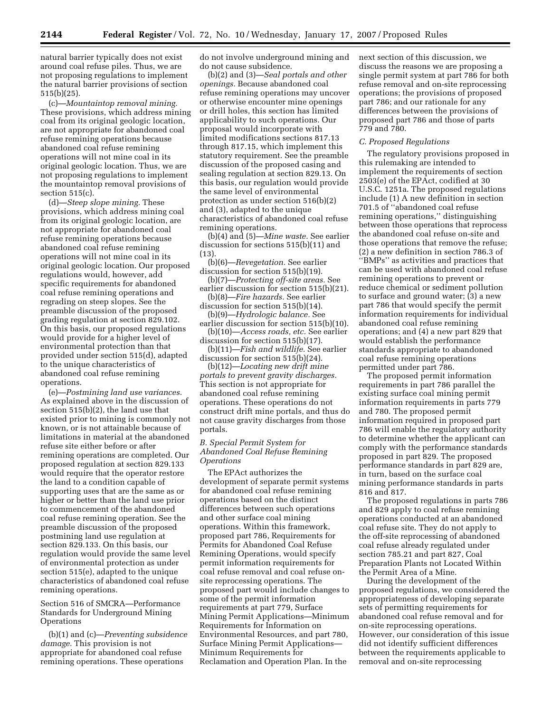natural barrier typically does not exist around coal refuse piles. Thus, we are not proposing regulations to implement the natural barrier provisions of section 515(b)(25).

(c)—*Mountaintop removal mining.*  These provisions, which address mining coal from its original geologic location, are not appropriate for abandoned coal refuse remining operations because abandoned coal refuse remining operations will not mine coal in its original geologic location. Thus, we are not proposing regulations to implement the mountaintop removal provisions of section 515(c).

(d)—*Steep slope mining.* These provisions, which address mining coal from its original geologic location, are not appropriate for abandoned coal refuse remining operations because abandoned coal refuse remining operations will not mine coal in its original geologic location. Our proposed regulations would, however, add specific requirements for abandoned coal refuse remining operations and regrading on steep slopes. See the preamble discussion of the proposed grading regulation at section 829.102. On this basis, our proposed regulations would provide for a higher level of environmental protection than that provided under section 515(d), adapted to the unique characteristics of abandoned coal refuse remining operations.

(e)—*Postmining land use variances.*  As explained above in the discussion of section 515(b)(2), the land use that existed prior to mining is commonly not known, or is not attainable because of limitations in material at the abandoned refuse site either before or after remining operations are completed. Our proposed regulation at section 829.133 would require that the operator restore the land to a condition capable of supporting uses that are the same as or higher or better than the land use prior to commencement of the abandoned coal refuse remining operation. See the preamble discussion of the proposed postmining land use regulation at section 829.133. On this basis, our regulation would provide the same level of environmental protection as under section 515(e), adapted to the unique characteristics of abandoned coal refuse remining operations.

# Section 516 of SMCRA—Performance Standards for Underground Mining **Operations**

(b)(1) and (c)—*Preventing subsidence damage.* This provision is not appropriate for abandoned coal refuse remining operations. These operations

do not involve underground mining and do not cause subsidence.

(b)(2) and (3)—*Seal portals and other openings.* Because abandoned coal refuse remining operations may uncover or otherwise encounter mine openings or drill holes, this section has limited applicability to such operations. Our proposal would incorporate with limited modifications sections 817.13 through 817.15, which implement this statutory requirement. See the preamble discussion of the proposed casing and sealing regulation at section 829.13. On this basis, our regulation would provide the same level of environmental protection as under section 516(b)(2) and (3), adapted to the unique characteristics of abandoned coal refuse remining operations.

(b)(4) and (5)—*Mine waste.* See earlier discussion for sections 515(b)(11) and  $(13)$ 

(b)(6)—*Revegetation.* See earlier discussion for section 515(b)(19).

(b)(7)—*Protecting off-site areas.* See earlier discussion for section 515(b)(21).

(b)(8)—*Fire hazards.* See earlier discussion for section 515(b)(14).

(b)(9)—*Hydrologic balance.* See earlier discussion for section 515(b)(10). (b)(10)—*Access roads, etc.* See earlier

discussion for section 515(b)(17).

(b)(11)—*Fish and wildlife.* See earlier discussion for section 515(b)(24).

(b)(12)—*Locating new drift mine portals to prevent gravity discharges.*  This section is not appropriate for abandoned coal refuse remining operations. These operations do not construct drift mine portals, and thus do not cause gravity discharges from those portals.

## *B. Special Permit System for Abandoned Coal Refuse Remining Operations*

The EPAct authorizes the development of separate permit systems for abandoned coal refuse remining operations based on the distinct differences between such operations and other surface coal mining operations. Within this framework, proposed part 786, Requirements for Permits for Abandoned Coal Refuse Remining Operations, would specify permit information requirements for coal refuse removal and coal refuse onsite reprocessing operations. The proposed part would include changes to some of the permit information requirements at part 779, Surface Mining Permit Applications—Minimum Requirements for Information on Environmental Resources, and part 780, Surface Mining Permit Applications— Minimum Requirements for Reclamation and Operation Plan. In the

next section of this discussion, we discuss the reasons we are proposing a single permit system at part 786 for both refuse removal and on-site reprocessing operations; the provisions of proposed part 786; and our rationale for any differences between the provisions of proposed part 786 and those of parts 779 and 780.

#### *C. Proposed Regulations*

The regulatory provisions proposed in this rulemaking are intended to implement the requirements of section 2503(e) of the EPAct, codified at 30 U.S.C. 1251a. The proposed regulations include (1) A new definition in section 701.5 of ''abandoned coal refuse remining operations,'' distinguishing between those operations that reprocess the abandoned coal refuse on-site and those operations that remove the refuse; (2) a new definition in section 786.3 of ''BMPs'' as activities and practices that can be used with abandoned coal refuse remining operations to prevent or reduce chemical or sediment pollution to surface and ground water; (3) a new part 786 that would specify the permit information requirements for individual abandoned coal refuse remining operations; and (4) a new part 829 that would establish the performance standards appropriate to abandoned coal refuse remining operations permitted under part 786.

The proposed permit information requirements in part 786 parallel the existing surface coal mining permit information requirements in parts 779 and 780. The proposed permit information required in proposed part 786 will enable the regulatory authority to determine whether the applicant can comply with the performance standards proposed in part 829. The proposed performance standards in part 829 are, in turn, based on the surface coal mining performance standards in parts 816 and 817.

The proposed regulations in parts 786 and 829 apply to coal refuse remining operations conducted at an abandoned coal refuse site. They do not apply to the off-site reprocessing of abandoned coal refuse already regulated under section 785.21 and part 827, Coal Preparation Plants not Located Within the Permit Area of a Mine.

During the development of the proposed regulations, we considered the appropriateness of developing separate sets of permitting requirements for abandoned coal refuse removal and for on-site reprocessing operations. However, our consideration of this issue did not identify sufficient differences between the requirements applicable to removal and on-site reprocessing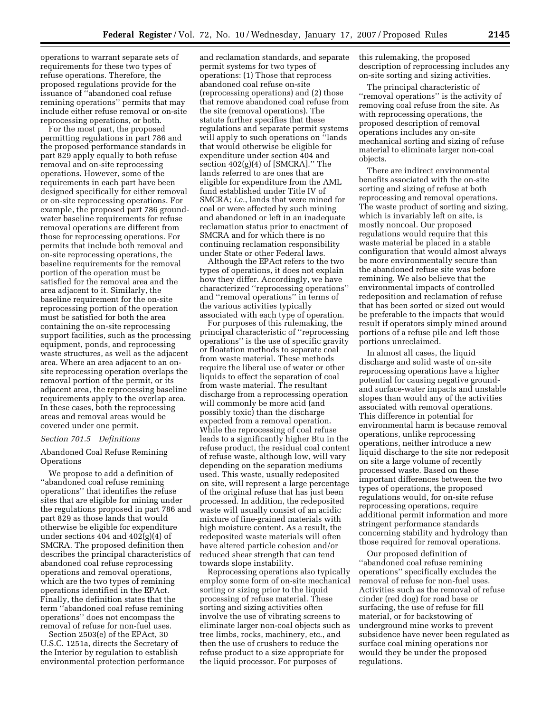operations to warrant separate sets of requirements for these two types of refuse operations. Therefore, the proposed regulations provide for the issuance of ''abandoned coal refuse remining operations'' permits that may include either refuse removal or on-site reprocessing operations, or both.

For the most part, the proposed permitting regulations in part 786 and the proposed performance standards in part 829 apply equally to both refuse removal and on-site reprocessing operations. However, some of the requirements in each part have been designed specifically for either removal or on-site reprocessing operations. For example, the proposed part 786 groundwater baseline requirements for refuse removal operations are different from those for reprocessing operations. For permits that include both removal and on-site reprocessing operations, the baseline requirements for the removal portion of the operation must be satisfied for the removal area and the area adjacent to it. Similarly, the baseline requirement for the on-site reprocessing portion of the operation must be satisfied for both the area containing the on-site reprocessing support facilities, such as the processing equipment, ponds, and reprocessing waste structures, as well as the adjacent area. Where an area adjacent to an onsite reprocessing operation overlaps the removal portion of the permit, or its adjacent area, the reprocessing baseline requirements apply to the overlap area. In these cases, both the reprocessing areas and removal areas would be covered under one permit.

#### *Section 701.5 Definitions*

Abandoned Coal Refuse Remining **Operations** 

We propose to add a definition of ''abandoned coal refuse remining operations'' that identifies the refuse sites that are eligible for mining under the regulations proposed in part 786 and part 829 as those lands that would otherwise be eligible for expenditure under sections 404 and  $402(g)(4)$  of SMCRA. The proposed definition then describes the principal characteristics of abandoned coal refuse reprocessing operations and removal operations, which are the two types of remining operations identified in the EPAct. Finally, the definition states that the term ''abandoned coal refuse remining operations'' does not encompass the removal of refuse for non-fuel uses.

Section 2503(e) of the EPAct, 30 U.S.C. 1251a, directs the Secretary of the Interior by regulation to establish environmental protection performance

and reclamation standards, and separate permit systems for two types of operations: (1) Those that reprocess abandoned coal refuse on-site (reprocessing operations) and (2) those that remove abandoned coal refuse from the site (removal operations). The statute further specifies that these regulations and separate permit systems will apply to such operations on ''lands that would otherwise be eligible for expenditure under section 404 and section 402(g)(4) of [SMCRA].'' The lands referred to are ones that are eligible for expenditure from the AML fund established under Title IV of SMCRA; *i.e.*, lands that were mined for coal or were affected by such mining and abandoned or left in an inadequate reclamation status prior to enactment of SMCRA and for which there is no continuing reclamation responsibility under State or other Federal laws.

Although the EPAct refers to the two types of operations, it does not explain how they differ. Accordingly, we have characterized ''reprocessing operations'' and ''removal operations'' in terms of the various activities typically associated with each type of operation.

For purposes of this rulemaking, the principal characteristic of ''reprocessing operations'' is the use of specific gravity or floatation methods to separate coal from waste material. These methods require the liberal use of water or other liquids to effect the separation of coal from waste material. The resultant discharge from a reprocessing operation will commonly be more acid (and possibly toxic) than the discharge expected from a removal operation. While the reprocessing of coal refuse leads to a significantly higher Btu in the refuse product, the residual coal content of refuse waste, although low, will vary depending on the separation mediums used. This waste, usually redeposited on site, will represent a large percentage of the original refuse that has just been processed. In addition, the redeposited waste will usually consist of an acidic mixture of fine-grained materials with high moisture content. As a result, the redeposited waste materials will often have altered particle cohesion and/or reduced shear strength that can tend towards slope instability.

Reprocessing operations also typically employ some form of on-site mechanical sorting or sizing prior to the liquid processing of refuse material. These sorting and sizing activities often involve the use of vibrating screens to eliminate larger non-coal objects such as tree limbs, rocks, machinery, etc., and then the use of crushers to reduce the refuse product to a size appropriate for the liquid processor. For purposes of

this rulemaking, the proposed description of reprocessing includes any on-site sorting and sizing activities.

The principal characteristic of ''removal operations'' is the activity of removing coal refuse from the site. As with reprocessing operations, the proposed description of removal operations includes any on-site mechanical sorting and sizing of refuse material to eliminate larger non-coal objects.

There are indirect environmental benefits associated with the on-site sorting and sizing of refuse at both reprocessing and removal operations. The waste product of sorting and sizing, which is invariably left on site, is mostly noncoal. Our proposed regulations would require that this waste material be placed in a stable configuration that would almost always be more environmentally secure than the abandoned refuse site was before remining. We also believe that the environmental impacts of controlled redeposition and reclamation of refuse that has been sorted or sized out would be preferable to the impacts that would result if operators simply mined around portions of a refuse pile and left those portions unreclaimed.

In almost all cases, the liquid discharge and solid waste of on-site reprocessing operations have a higher potential for causing negative groundand surface-water impacts and unstable slopes than would any of the activities associated with removal operations. This difference in potential for environmental harm is because removal operations, unlike reprocessing operations, neither introduce a new liquid discharge to the site nor redeposit on site a large volume of recently processed waste. Based on these important differences between the two types of operations, the proposed regulations would, for on-site refuse reprocessing operations, require additional permit information and more stringent performance standards concerning stability and hydrology than those required for removal operations.

Our proposed definition of ''abandoned coal refuse remining operations'' specifically excludes the removal of refuse for non-fuel uses. Activities such as the removal of refuse cinder (red dog) for road base or surfacing, the use of refuse for fill material, or for backstowing of underground mine works to prevent subsidence have never been regulated as surface coal mining operations nor would they be under the proposed regulations.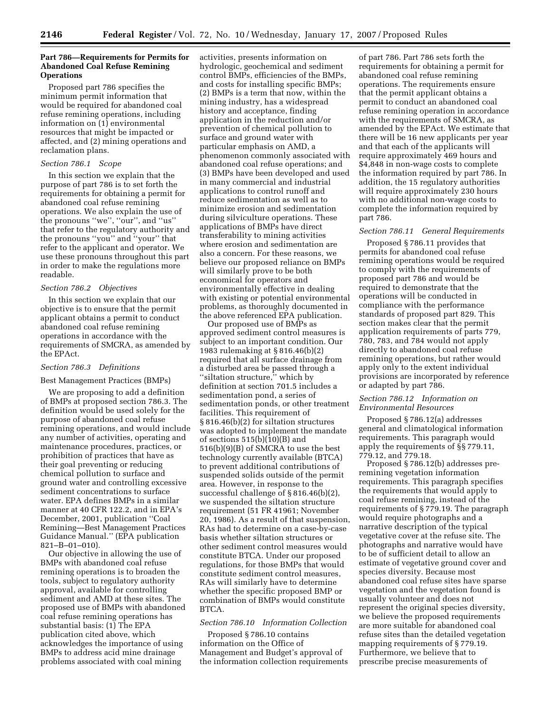# **Part 786—Requirements for Permits for Abandoned Coal Refuse Remining Operations**

Proposed part 786 specifies the minimum permit information that would be required for abandoned coal refuse remining operations, including information on (1) environmental resources that might be impacted or affected, and (2) mining operations and reclamation plans.

#### *Section 786.1 Scope*

In this section we explain that the purpose of part 786 is to set forth the requirements for obtaining a permit for abandoned coal refuse remining operations. We also explain the use of the pronouns ''we'', ''our'', and ''us'' that refer to the regulatory authority and the pronouns ''you'' and ''your'' that refer to the applicant and operator. We use these pronouns throughout this part in order to make the regulations more readable.

# *Section 786.2 Objectives*

In this section we explain that our objective is to ensure that the permit applicant obtains a permit to conduct abandoned coal refuse remining operations in accordance with the requirements of SMCRA, as amended by the EPAct.

#### *Section 786.3 Definitions*

#### Best Management Practices (BMPs)

We are proposing to add a definition of BMPs at proposed section 786.3. The definition would be used solely for the purpose of abandoned coal refuse remining operations, and would include any number of activities, operating and maintenance procedures, practices, or prohibition of practices that have as their goal preventing or reducing chemical pollution to surface and ground water and controlling excessive sediment concentrations to surface water. EPA defines BMPs in a similar manner at 40 CFR 122.2, and in EPA's December, 2001, publication ''Coal Remining—Best Management Practices Guidance Manual.'' (EPA publication 821–B–01–010).

Our objective in allowing the use of BMPs with abandoned coal refuse remining operations is to broaden the tools, subject to regulatory authority approval, available for controlling sediment and AMD at these sites. The proposed use of BMPs with abandoned coal refuse remining operations has substantial basis: (1) The EPA publication cited above, which acknowledges the importance of using BMPs to address acid mine drainage problems associated with coal mining

activities, presents information on hydrologic, geochemical and sediment control BMPs, efficiencies of the BMPs, and costs for installing specific BMPs; (2) BMPs is a term that now, within the mining industry, has a widespread history and acceptance, finding application in the reduction and/or prevention of chemical pollution to surface and ground water with particular emphasis on AMD, a phenomenon commonly associated with abandoned coal refuse operations; and (3) BMPs have been developed and used in many commercial and industrial applications to control runoff and reduce sedimentation as well as to minimize erosion and sedimentation during silviculture operations. These applications of BMPs have direct transferability to mining activities where erosion and sedimentation are also a concern. For these reasons, we believe our proposed reliance on BMPs will similarly prove to be both economical for operators and environmentally effective in dealing with existing or potential environmental problems, as thoroughly documented in the above referenced EPA publication.

Our proposed use of BMPs as approved sediment control measures is subject to an important condition. Our 1983 rulemaking at § 816.46(b)(2) required that all surface drainage from a disturbed area be passed through a ''siltation structure,'' which by definition at section 701.5 includes a sedimentation pond, a series of sedimentation ponds, or other treatment facilities. This requirement of § 816.46(b)(2) for siltation structures was adopted to implement the mandate of sections 515(b)(10)(B) and 516(b)(9)(B) of SMCRA to use the best technology currently available (BTCA) to prevent additional contributions of suspended solids outside of the permit area. However, in response to the successful challenge of § 816.46(b)(2), we suspended the siltation structure requirement (51 FR 41961; November 20, 1986). As a result of that suspension, RAs had to determine on a case-by-case basis whether siltation structures or other sediment control measures would constitute BTCA. Under our proposed regulations, for those BMPs that would constitute sediment control measures, RAs will similarly have to determine whether the specific proposed BMP or combination of BMPs would constitute BTCA.

#### *Section 786.10 Information Collection*

Proposed § 786.10 contains information on the Office of Management and Budget's approval of the information collection requirements

of part 786. Part 786 sets forth the requirements for obtaining a permit for abandoned coal refuse remining operations. The requirements ensure that the permit applicant obtains a permit to conduct an abandoned coal refuse remining operation in accordance with the requirements of SMCRA, as amended by the EPAct. We estimate that there will be 16 new applicants per year and that each of the applicants will require approximately 469 hours and \$4,848 in non-wage costs to complete the information required by part 786. In addition, the 15 regulatory authorities will require approximately 230 hours with no additional non-wage costs to complete the information required by part 786.

# *Section 786.11 General Requirements*

Proposed § 786.11 provides that permits for abandoned coal refuse remining operations would be required to comply with the requirements of proposed part 786 and would be required to demonstrate that the operations will be conducted in compliance with the performance standards of proposed part 829. This section makes clear that the permit application requirements of parts 779, 780, 783, and 784 would not apply directly to abandoned coal refuse remining operations, but rather would apply only to the extent individual provisions are incorporated by reference or adapted by part 786.

#### *Section 786.12 Information on Environmental Resources*

Proposed § 786.12(a) addresses general and climatological information requirements. This paragraph would apply the requirements of §§ 779.11, 779.12, and 779.18.

Proposed § 786.12(b) addresses preremining vegetation information requirements. This paragraph specifies the requirements that would apply to coal refuse remining, instead of the requirements of § 779.19. The paragraph would require photographs and a narrative description of the typical vegetative cover at the refuse site. The photographs and narrative would have to be of sufficient detail to allow an estimate of vegetative ground cover and species diversity. Because most abandoned coal refuse sites have sparse vegetation and the vegetation found is usually volunteer and does not represent the original species diversity, we believe the proposed requirements are more suitable for abandoned coal refuse sites than the detailed vegetation mapping requirements of § 779.19. Furthermore, we believe that to prescribe precise measurements of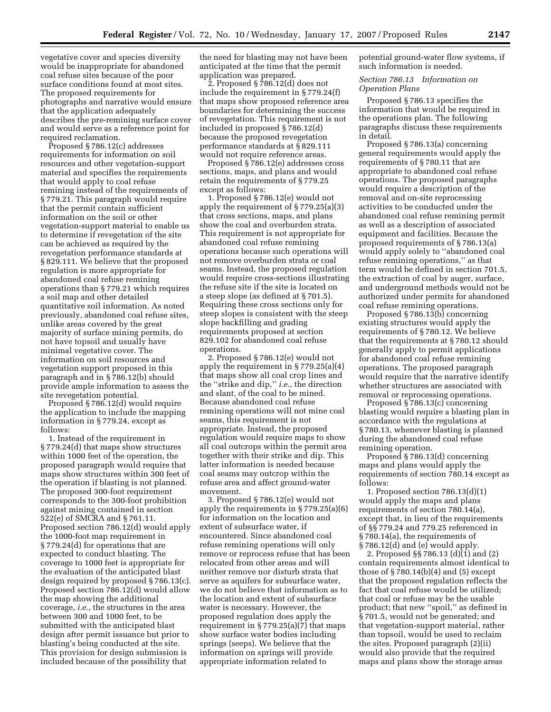vegetative cover and species diversity would be inappropriate for abandoned coal refuse sites because of the poor surface conditions found at most sites. The proposed requirements for photographs and narrative would ensure that the application adequately describes the pre-remining surface cover and would serve as a reference point for required reclamation.

Proposed § 786.12(c) addresses requirements for information on soil resources and other vegetation-support material and specifies the requirements that would apply to coal refuse remining instead of the requirements of § 779.21. This paragraph would require that the permit contain sufficient information on the soil or other vegetation-support material to enable us to determine if revegetation of the site can be achieved as required by the revegetation performance standards at § 829.111. We believe that the proposed regulation is more appropriate for abandoned coal refuse remining operations than § 779.21 which requires a soil map and other detailed quantitative soil information. As noted previously, abandoned coal refuse sites, unlike areas covered by the great majority of surface mining permits, do not have topsoil and usually have minimal vegetative cover. The information on soil resources and vegetation support proposed in this paragraph and in § 786.12(b) should provide ample information to assess the site revegetation potential.

Proposed § 786.12(d) would require the application to include the mapping information in § 779.24, except as follows:

1. Instead of the requirement in § 779.24(d) that maps show structures within 1000 feet of the operation, the proposed paragraph would require that maps show structures within 300 feet of the operation if blasting is not planned. The proposed 300-foot requirement corresponds to the 300-foot prohibition against mining contained in section 522(e) of SMCRA and § 761.11. Proposed section 786.12(d) would apply the 1000-foot map requirement in § 779.24(d) for operations that are expected to conduct blasting. The coverage to 1000 feet is appropriate for the evaluation of the anticipated blast design required by proposed § 786.13(c). Proposed section 786.12(d) would allow the map showing the additional coverage, *i.e.*, the structures in the area between 300 and 1000 feet, to be submitted with the anticipated blast design after permit issuance but prior to blasting's being conducted at the site. This provision for design submission is included because of the possibility that

the need for blasting may not have been anticipated at the time that the permit application was prepared.

2. Proposed  $\S$  786.12(d) does not include the requirement in § 779.24(f) that maps show proposed reference area boundaries for determining the success of revegetation. This requirement is not included in proposed § 786.12(d) because the proposed revegetation performance standards at § 829.111 would not require reference areas.

Proposed § 786.12(e) addresses cross sections, maps, and plans and would retain the requirements of § 779.25 except as follows:

1. Proposed § 786.12(e) would not apply the requirement of § 779.25(a)(3) that cross sections, maps, and plans show the coal and overburden strata. This requirement is not appropriate for abandoned coal refuse remining operations because such operations will not remove overburden strata or coal seams. Instead, the proposed regulation would require cross-sections illustrating the refuse site if the site is located on a steep slope (as defined at § 701.5). Requiring these cross sections only for steep slopes is consistent with the steep slope backfilling and grading requirements proposed at section 829.102 for abandoned coal refuse operations.

2. Proposed § 786.12(e) would not apply the requirement in § 779.25(a)(4) that maps show all coal crop lines and the ''strike and dip,'' *i.e.*, the direction and slant, of the coal to be mined. Because abandoned coal refuse remining operations will not mine coal seams, this requirement is not appropriate. Instead, the proposed regulation would require maps to show all coal outcrops within the permit area together with their strike and dip. This latter information is needed because coal seams may outcrop within the refuse area and affect ground-water movement.

3. Proposed § 786.12(e) would not apply the requirements in § 779.25(a)(6) for information on the location and extent of subsurface water, if encountered. Since abandoned coal refuse remining operations will only remove or reprocess refuse that has been relocated from other areas and will neither remove nor disturb strata that serve as aquifers for subsurface water, we do not believe that information as to the location and extent of subsurface water is necessary. However, the proposed regulation does apply the requirement in § 779.25(a)(7) that maps show surface water bodies including springs (seeps). We believe that the information on springs will provide appropriate information related to

potential ground-water flow systems, if such information is needed.

## *Section 786.13 Information on Operation Plans*

Proposed § 786.13 specifies the information that would be required in the operations plan. The following paragraphs discuss these requirements in detail.

Proposed § 786.13(a) concerning general requirements would apply the requirements of § 780.11 that are appropriate to abandoned coal refuse operations. The proposed paragraphs would require a description of the removal and on-site reprocessing activities to be conducted under the abandoned coal refuse remining permit as well as a description of associated equipment and facilities. Because the proposed requirements of § 786.13(a) would apply solely to ''abandoned coal refuse remining operations,'' as that term would be defined in section 701.5, the extraction of coal by auger, surface, and underground methods would not be authorized under permits for abandoned coal refuse remining operations.

Proposed § 786.13(b) concerning existing structures would apply the requirements of § 780.12. We believe that the requirements at § 780.12 should generally apply to permit applications for abandoned coal refuse remining operations. The proposed paragraph would require that the narrative identify whether structures are associated with removal or reprocessing operations.

Proposed § 786.13(c) concerning blasting would require a blasting plan in accordance with the regulations at § 780.13, whenever blasting is planned during the abandoned coal refuse remining operation.

Proposed § 786.13(d) concerning maps and plans would apply the requirements of section 780.14 except as follows:

1. Proposed section 786.13(d)(1) would apply the maps and plans requirements of section 780.14(a), except that, in lieu of the requirements of §§ 779.24 and 779.25 referenced in § 780.14(a), the requirements of § 786.12(d) and (e) would apply.

2. Proposed §§ 786.13 (d)(1) and (2) contain requirements almost identical to those of  $\S 780.14(b)(4)$  and  $(5)$  except that the proposed regulation reflects the fact that coal refuse would be utilized; that coal or refuse may be the usable product; that new ''spoil,'' as defined in § 701.5, would not be generated; and that vegetation-support material, rather than topsoil, would be used to reclaim the sites. Proposed paragraph (2)(ii) would also provide that the required maps and plans show the storage areas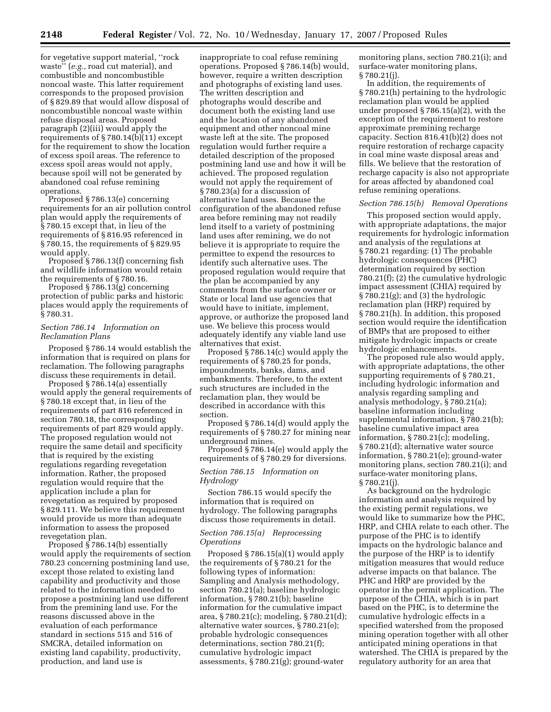for vegetative support material, ''rock waste'' (*e.g.*, road cut material), and combustible and noncombustible noncoal waste. This latter requirement corresponds to the proposed provision of § 829.89 that would allow disposal of noncombustible noncoal waste within refuse disposal areas. Proposed paragraph (2)(iii) would apply the requirements of § 780.14(b)(11) except for the requirement to show the location of excess spoil areas. The reference to excess spoil areas would not apply, because spoil will not be generated by abandoned coal refuse remining operations.

Proposed § 786.13(e) concerning requirements for an air pollution control plan would apply the requirements of § 780.15 except that, in lieu of the requirements of § 816.95 referenced in § 780.15, the requirements of § 829.95 would apply.

Proposed § 786.13(f) concerning fish and wildlife information would retain the requirements of § 780.16.

Proposed § 786.13(g) concerning protection of public parks and historic places would apply the requirements of § 780.31.

# *Section 786.14 Information on Reclamation Plans*

Proposed § 786.14 would establish the information that is required on plans for reclamation. The following paragraphs discuss these requirements in detail.

Proposed § 786.14(a) essentially would apply the general requirements of § 780.18 except that, in lieu of the requirements of part 816 referenced in section 780.18, the corresponding requirements of part 829 would apply. The proposed regulation would not require the same detail and specificity that is required by the existing regulations regarding revegetation information. Rather, the proposed regulation would require that the application include a plan for revegetation as required by proposed § 829.111. We believe this requirement would provide us more than adequate information to assess the proposed revegetation plan.

Proposed § 786.14(b) essentially would apply the requirements of section 780.23 concerning postmining land use, except those related to existing land capability and productivity and those related to the information needed to propose a postmining land use different from the premining land use. For the reasons discussed above in the evaluation of each performance standard in sections 515 and 516 of SMCRA, detailed information on existing land capability, productivity, production, and land use is

inappropriate to coal refuse remining operations. Proposed § 786.14(b) would, however, require a written description and photographs of existing land uses. The written description and photographs would describe and document both the existing land use and the location of any abandoned equipment and other noncoal mine waste left at the site. The proposed regulation would further require a detailed description of the proposed postmining land use and how it will be achieved. The proposed regulation would not apply the requirement of § 780.23(a) for a discussion of alternative land uses. Because the configuration of the abandoned refuse area before remining may not readily lend itself to a variety of postmining land uses after remining, we do not believe it is appropriate to require the permittee to expend the resources to identify such alternative uses. The proposed regulation would require that the plan be accompanied by any comments from the surface owner or State or local land use agencies that would have to initiate, implement, approve, or authorize the proposed land use. We believe this process would adequately identify any viable land use alternatives that exist.

Proposed § 786.14(c) would apply the requirements of § 780.25 for ponds, impoundments, banks, dams, and embankments. Therefore, to the extent such structures are included in the reclamation plan, they would be described in accordance with this section.

Proposed § 786.14(d) would apply the requirements of § 780.27 for mining near underground mines.

Proposed § 786.14(e) would apply the requirements of § 780.29 for diversions.

#### *Section 786.15 Information on Hydrology*

Section 786.15 would specify the information that is required on hydrology. The following paragraphs discuss those requirements in detail.

# *Section 786.15(a) Reprocessing Operations*

Proposed § 786.15(a)(1) would apply the requirements of § 780.21 for the following types of information: Sampling and Analysis methodology, section 780.21(a); baseline hydrologic information, § 780.21(b); baseline information for the cumulative impact area, § 780.21(c); modeling, § 780.21(d); alternative water sources, § 780.21(e); probable hydrologic consequences determinations, section 780.21(f); cumulative hydrologic impact assessments, § 780.21(g); ground-water

monitoring plans, section 780.21(i); and surface-water monitoring plans, § 780.21(j).

In addition, the requirements of § 780.21(h) pertaining to the hydrologic reclamation plan would be applied under proposed § 786.15(a)(2), with the exception of the requirement to restore approximate premining recharge capacity. Section 816.41(b)(2) does not require restoration of recharge capacity in coal mine waste disposal areas and fills. We believe that the restoration of recharge capacity is also not appropriate for areas affected by abandoned coal refuse remining operations.

### *Section 786.15(b) Removal Operations*

This proposed section would apply, with appropriate adaptations, the major requirements for hydrologic information and analysis of the regulations at § 780.21 regarding: (1) The probable hydrologic consequences (PHC) determination required by section 780.21(f); (2) the cumulative hydrologic impact assessment (CHIA) required by § 780.21(g); and (3) the hydrologic reclamation plan (HRP) required by § 780.21(h). In addition, this proposed section would require the identification of BMPs that are proposed to either mitigate hydrologic impacts or create hydrologic enhancements.

The proposed rule also would apply, with appropriate adaptations, the other supporting requirements of § 780.21, including hydrologic information and analysis regarding sampling and analysis methodology, § 780.21(a); baseline information including supplemental information, § 780.21(b); baseline cumulative impact area information, § 780.21(c); modeling, § 780.21(d); alternative water source information, § 780.21(e); ground-water monitoring plans, section 780.21(i); and surface-water monitoring plans, § 780.21(j).

As background on the hydrologic information and analysis required by the existing permit regulations, we would like to summarize how the PHC, HRP, and CHIA relate to each other. The purpose of the PHC is to identify impacts on the hydrologic balance and the purpose of the HRP is to identify mitigation measures that would reduce adverse impacts on that balance. The PHC and HRP are provided by the operator in the permit application. The purpose of the CHIA, which is in part based on the PHC, is to determine the cumulative hydrologic effects in a specified watershed from the proposed mining operation together with all other anticipated mining operations in that watershed. The CHIA is prepared by the regulatory authority for an area that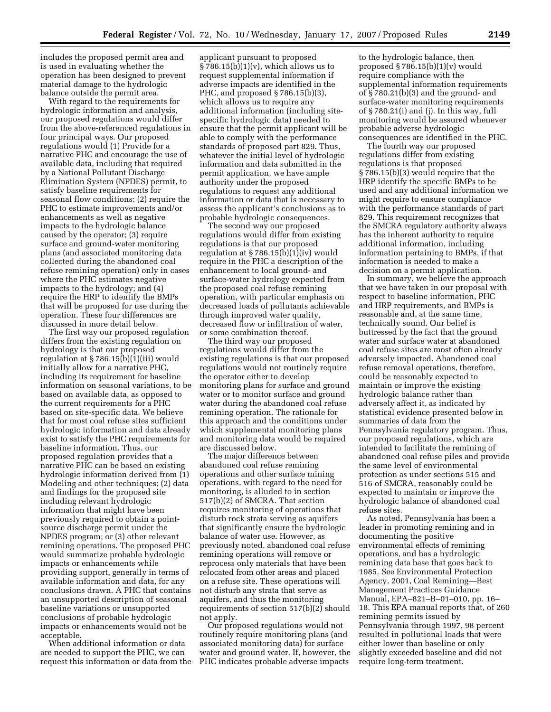includes the proposed permit area and is used in evaluating whether the operation has been designed to prevent material damage to the hydrologic balance outside the permit area.

With regard to the requirements for hydrologic information and analysis, our proposed regulations would differ from the above-referenced regulations in four principal ways. Our proposed regulations would (1) Provide for a narrative PHC and encourage the use of available data, including that required by a National Pollutant Discharge Elimination System (NPDES) permit, to satisfy baseline requirements for seasonal flow conditions; (2) require the PHC to estimate improvements and/or enhancements as well as negative impacts to the hydrologic balance caused by the operator; (3) require surface and ground-water monitoring plans (and associated monitoring data collected during the abandoned coal refuse remining operation) only in cases where the PHC estimates negative impacts to the hydrology; and (4) require the HRP to identify the BMPs that will be proposed for use during the operation. These four differences are discussed in more detail below.

The first way our proposed regulation differs from the existing regulation on hydrology is that our proposed regulation at § 786.15 $(b)(1)(iii)$  would initially allow for a narrative PHC, including its requirement for baseline information on seasonal variations, to be based on available data, as opposed to the current requirements for a PHC based on site-specific data. We believe that for most coal refuse sites sufficient hydrologic information and data already exist to satisfy the PHC requirements for baseline information. Thus, our proposed regulation provides that a narrative PHC can be based on existing hydrologic information derived from (1) Modeling and other techniques; (2) data and findings for the proposed site including relevant hydrologic information that might have been previously required to obtain a pointsource discharge permit under the NPDES program; or (3) other relevant remining operations. The proposed PHC would summarize probable hydrologic impacts or enhancements while providing support, generally in terms of available information and data, for any conclusions drawn. A PHC that contains an unsupported description of seasonal baseline variations or unsupported conclusions of probable hydrologic impacts or enhancements would not be acceptable.

When additional information or data are needed to support the PHC, we can request this information or data from the

applicant pursuant to proposed § 786.15(b)(1)(v), which allows us to request supplemental information if adverse impacts are identified in the PHC, and proposed § 786.15(b)(3), which allows us to require any additional information (including sitespecific hydrologic data) needed to ensure that the permit applicant will be able to comply with the performance standards of proposed part 829. Thus, whatever the initial level of hydrologic information and data submitted in the permit application, we have ample authority under the proposed regulations to request any additional information or data that is necessary to assess the applicant's conclusions as to probable hydrologic consequences.

The second way our proposed regulations would differ from existing regulations is that our proposed regulation at § 786.15(b)(1)(iv) would require in the PHC a description of the enhancement to local ground- and surface-water hydrology expected from the proposed coal refuse remining operation, with particular emphasis on decreased loads of pollutants achievable through improved water quality, decreased flow or infiltration of water, or some combination thereof.

The third way our proposed regulations would differ from the existing regulations is that our proposed regulations would not routinely require the operator either to develop monitoring plans for surface and ground water or to monitor surface and ground water during the abandoned coal refuse remining operation. The rationale for this approach and the conditions under which supplemental monitoring plans and monitoring data would be required are discussed below.

The major difference between abandoned coal refuse remining operations and other surface mining operations, with regard to the need for monitoring, is alluded to in section 517(b)(2) of SMCRA. That section requires monitoring of operations that disturb rock strata serving as aquifers that significantly ensure the hydrologic balance of water use. However, as previously noted, abandoned coal refuse remining operations will remove or reprocess only materials that have been relocated from other areas and placed on a refuse site. These operations will not disturb any strata that serve as aquifers, and thus the monitoring requirements of section 517(b)(2) should not apply.

Our proposed regulations would not routinely require monitoring plans (and associated monitoring data) for surface water and ground water. If, however, the PHC indicates probable adverse impacts

to the hydrologic balance, then proposed  $\S 786.15(b)(1)(v)$  would require compliance with the supplemental information requirements of § 780.21(b)(3) and the ground- and surface-water monitoring requirements of § 780.21(i) and (j). In this way, full monitoring would be assured whenever probable adverse hydrologic consequences are identified in the PHC.

The fourth way our proposed regulations differ from existing regulations is that proposed § 786.15(b)(3) would require that the HRP identify the specific BMPs to be used and any additional information we might require to ensure compliance with the performance standards of part 829. This requirement recognizes that the SMCRA regulatory authority always has the inherent authority to require additional information, including information pertaining to BMPs, if that information is needed to make a decision on a permit application.

In summary, we believe the approach that we have taken in our proposal with respect to baseline information, PHC and HRP requirements, and BMPs is reasonable and, at the same time, technically sound. Our belief is buttressed by the fact that the ground water and surface water at abandoned coal refuse sites are most often already adversely impacted. Abandoned coal refuse removal operations, therefore, could be reasonably expected to maintain or improve the existing hydrologic balance rather than adversely affect it, as indicated by statistical evidence presented below in summaries of data from the Pennsylvania regulatory program. Thus, our proposed regulations, which are intended to facilitate the remining of abandoned coal refuse piles and provide the same level of environmental protection as under sections 515 and 516 of SMCRA, reasonably could be expected to maintain or improve the hydrologic balance of abandoned coal refuse sites.

As noted, Pennsylvania has been a leader in promoting remining and in documenting the positive environmental effects of remining operations, and has a hydrologic remining data base that goes back to 1985. See Environmental Protection Agency, 2001, Coal Remining—Best Management Practices Guidance Manual, EPA–821–B–01–010, pp. 16– 18. This EPA manual reports that, of 260 remining permits issued by Pennsylvania through 1997, 98 percent resulted in pollutional loads that were either lower than baseline or only slightly exceeded baseline and did not require long-term treatment.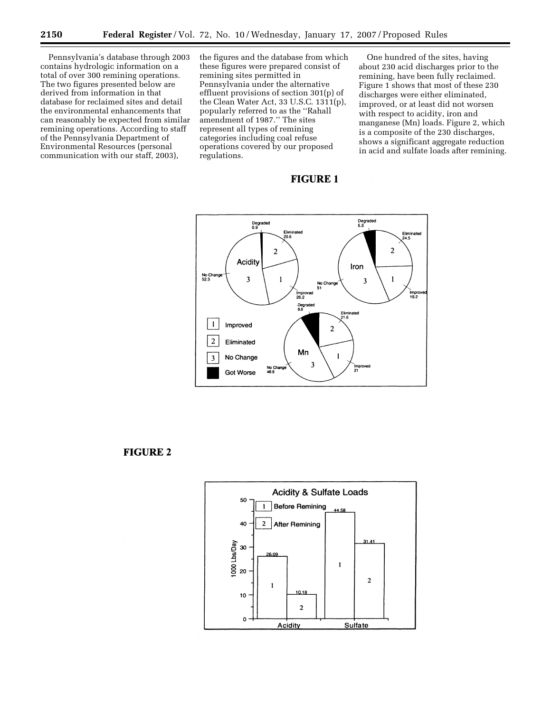Pennsylvania's database through 2003 contains hydrologic information on a total of over 300 remining operations. The two figures presented below are derived from information in that database for reclaimed sites and detail the environmental enhancements that can reasonably be expected from similar remining operations. According to staff of the Pennsylvania Department of Environmental Resources (personal communication with our staff, 2003),

the figures and the database from which these figures were prepared consist of remining sites permitted in Pennsylvania under the alternative effluent provisions of section 301(p) of the Clean Water Act, 33 U.S.C. 1311(p), popularly referred to as the ''Rahall amendment of 1987.'' The sites represent all types of remining categories including coal refuse operations covered by our proposed regulations.

One hundred of the sites, having about 230 acid discharges prior to the remining, have been fully reclaimed. Figure 1 shows that most of these 230 discharges were either eliminated, improved, or at least did not worsen with respect to acidity, iron and manganese (Mn) loads. Figure 2, which is a composite of the 230 discharges, shows a significant aggregate reduction in acid and sulfate loads after remining.

# **FIGURE 1**



# **FIGURE 2**

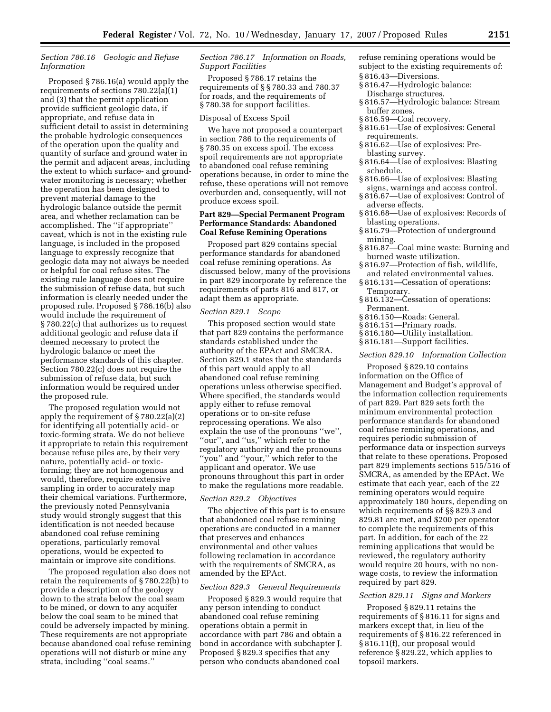# *Section 786.16 Geologic and Refuse Information*

Proposed § 786.16(a) would apply the requirements of sections 780.22(a)(1) and (3) that the permit application provide sufficient geologic data, if appropriate, and refuse data in sufficient detail to assist in determining the probable hydrologic consequences of the operation upon the quality and quantity of surface and ground water in the permit and adjacent areas, including the extent to which surface- and groundwater monitoring is necessary; whether the operation has been designed to prevent material damage to the hydrologic balance outside the permit area, and whether reclamation can be accomplished. The ''if appropriate'' caveat, which is not in the existing rule language, is included in the proposed language to expressly recognize that geologic data may not always be needed or helpful for coal refuse sites. The existing rule language does not require the submission of refuse data, but such information is clearly needed under the proposed rule. Proposed § 786.16(b) also would include the requirement of § 780.22(c) that authorizes us to request additional geologic and refuse data if deemed necessary to protect the hydrologic balance or meet the performance standards of this chapter. Section 780.22(c) does not require the submission of refuse data, but such information would be required under the proposed rule.

The proposed regulation would not apply the requirement of § 780.22(a)(2) for identifying all potentially acid- or toxic-forming strata. We do not believe it appropriate to retain this requirement because refuse piles are, by their very nature, potentially acid- or toxicforming; they are not homogenous and would, therefore, require extensive sampling in order to accurately map their chemical variations. Furthermore, the previously noted Pennsylvania study would strongly suggest that this identification is not needed because abandoned coal refuse remining operations, particularly removal operations, would be expected to maintain or improve site conditions.

The proposed regulation also does not retain the requirements of § 780.22(b) to provide a description of the geology down to the strata below the coal seam to be mined, or down to any acquifer below the coal seam to be mined that could be adversely impacted by mining. These requirements are not appropriate because abandoned coal refuse remining operations will not disturb or mine any strata, including ''coal seams.''

# *Section 786.17 Information on Roads, Support Facilities*

Proposed § 786.17 retains the requirements of § § 780.33 and 780.37 for roads, and the requirements of § 780.38 for support facilities.

#### Disposal of Excess Spoil

We have not proposed a counterpart in section 786 to the requirements of § 780.35 on excess spoil. The excess spoil requirements are not appropriate to abandoned coal refuse remining operations because, in order to mine the refuse, these operations will not remove overburden and, consequently, will not produce excess spoil.

## **Part 829—Special Permanent Program Performance Standards: Abandoned Coal Refuse Remining Operations**

Proposed part 829 contains special performance standards for abandoned coal refuse remining operations. As discussed below, many of the provisions in part 829 incorporate by reference the requirements of parts 816 and 817, or adapt them as appropriate.

#### *Section 829.1 Scope*

This proposed section would state that part 829 contains the performance standards established under the authority of the EPAct and SMCRA. Section 829.1 states that the standards of this part would apply to all abandoned coal refuse remining operations unless otherwise specified. Where specified, the standards would apply either to refuse removal operations or to on-site refuse reprocessing operations. We also explain the use of the pronouns ''we'', ''our'', and ''us,'' which refer to the regulatory authority and the pronouns ''you'' and ''your,'' which refer to the applicant and operator. We use pronouns throughout this part in order to make the regulations more readable.

# *Section 829.2 Objectives*

The objective of this part is to ensure that abandoned coal refuse remining operations are conducted in a manner that preserves and enhances environmental and other values following reclamation in accordance with the requirements of SMCRA, as amended by the EPAct.

#### *Section 829.3 General Requirements*

Proposed § 829.3 would require that any person intending to conduct abandoned coal refuse remining operations obtain a permit in accordance with part 786 and obtain a bond in accordance with subchapter J. Proposed § 829.3 specifies that any person who conducts abandoned coal

refuse remining operations would be subject to the existing requirements of: § 816.43—Diversions.

- § 816.47—Hydrologic balance:
- Discharge structures. § 816.57—Hydrologic balance: Stream
- buffer zones.
- § 816.59—Coal recovery.
- § 816.61—Use of explosives: General requirements.
- § 816.62—Use of explosives: Preblasting survey.
- § 816.64—Use of explosives: Blasting schedule.
- § 816.66—Use of explosives: Blasting signs, warnings and access control.
- § 816.67—Use of explosives: Control of adverse effects.
- § 816.68—Use of explosives: Records of blasting operations.
- § 816.79—Protection of underground mining.
- § 816.87—Coal mine waste: Burning and burned waste utilization.
- § 816.97—Protection of fish, wildlife, and related environmental values.
- § 816.131—Cessation of operations: Temporary.
- § 816.132—Cessation of operations: Permanent.
- § 816.150—Roads: General.
- § 816.151—Primary roads.
- § 816.180—Utility installation.
- § 816.181—Support facilities.

# *Section 829.10 Information Collection*

Proposed § 829.10 contains information on the Office of Management and Budget's approval of the information collection requirements of part 829. Part 829 sets forth the minimum environmental protection performance standards for abandoned coal refuse remining operations, and requires periodic submission of performance data or inspection surveys that relate to these operations. Proposed part 829 implements sections 515/516 of SMCRA, as amended by the EPAct. We estimate that each year, each of the 22 remining operators would require approximately 180 hours, depending on which requirements of §§ 829.3 and 829.81 are met, and \$200 per operator to complete the requirements of this part. In addition, for each of the 22 remining applications that would be reviewed, the regulatory authority would require 20 hours, with no nonwage costs, to review the information required by part 829.

# *Section 829.11 Signs and Markers*

Proposed § 829.11 retains the requirements of § 816.11 for signs and markers except that, in lieu of the requirements of § 816.22 referenced in § 816.11(f), our proposal would reference § 829.22, which applies to topsoil markers.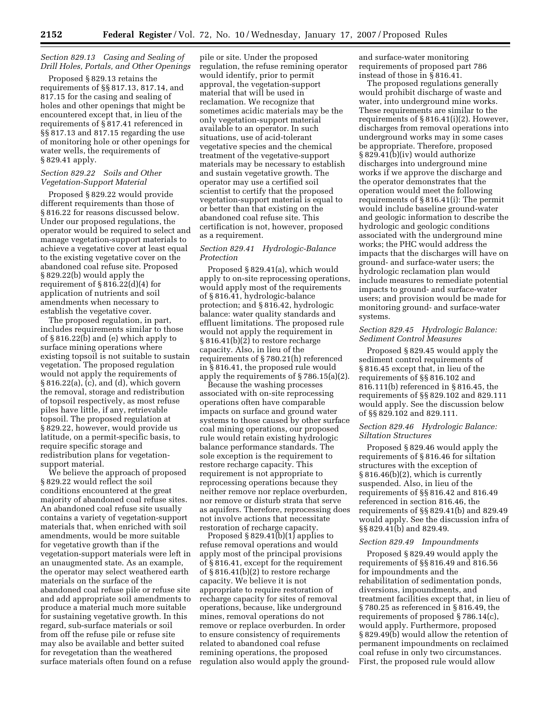### *Section 829.13 Casing and Sealing of Drill Holes, Portals, and Other Openings*

Proposed § 829.13 retains the requirements of §§ 817.13, 817.14, and 817.15 for the casing and sealing of holes and other openings that might be encountered except that, in lieu of the requirements of § 817.41 referenced in §§ 817.13 and 817.15 regarding the use of monitoring hole or other openings for water wells, the requirements of § 829.41 apply.

# *Section 829.22 Soils and Other Vegetation-Support Material*

Proposed § 829.22 would provide different requirements than those of § 816.22 for reasons discussed below. Under our proposed regulations, the operator would be required to select and manage vegetation-support materials to achieve a vegetative cover at least equal to the existing vegetative cover on the abandoned coal refuse site. Proposed § 829.22(b) would apply the requirement of  $\S 816.22(d)(4)$  for application of nutrients and soil amendments when necessary to establish the vegetative cover.

The proposed regulation, in part, includes requirements similar to those of § 816.22(b) and (e) which apply to surface mining operations where existing topsoil is not suitable to sustain vegetation. The proposed regulation would not apply the requirements of § 816.22(a), (c), and (d), which govern the removal, storage and redistribution of topsoil respectively, as most refuse piles have little, if any, retrievable topsoil. The proposed regulation at § 829.22, however, would provide us latitude, on a permit-specific basis, to require specific storage and redistribution plans for vegetationsupport material.

We believe the approach of proposed § 829.22 would reflect the soil conditions encountered at the great majority of abandoned coal refuse sites. An abandoned coal refuse site usually contains a variety of vegetation-support materials that, when enriched with soil amendments, would be more suitable for vegetative growth than if the vegetation-support materials were left in an unaugmented state. As an example, the operator may select weathered earth materials on the surface of the abandoned coal refuse pile or refuse site and add appropriate soil amendments to produce a material much more suitable for sustaining vegetative growth. In this regard, sub-surface materials or soil from off the refuse pile or refuse site may also be available and better suited for revegetation than the weathered surface materials often found on a refuse

pile or site. Under the proposed regulation, the refuse remining operator would identify, prior to permit approval, the vegetation-support material that will be used in reclamation. We recognize that sometimes acidic materials may be the only vegetation-support material available to an operator. In such situations, use of acid-tolerant vegetative species and the chemical treatment of the vegetative-support materials may be necessary to establish and sustain vegetative growth. The operator may use a certified soil scientist to certify that the proposed vegetation-support material is equal to or better than that existing on the abandoned coal refuse site. This certification is not, however, proposed as a requirement.

# *Section 829.41 Hydrologic-Balance Protection*

Proposed § 829.41(a), which would apply to on-site reprocessing operations, would apply most of the requirements of § 816.41, hydrologic-balance protection; and § 816.42, hydrologic balance: water quality standards and effluent limitations. The proposed rule would not apply the requirement in § 816.41(b)(2) to restore recharge capacity. Also, in lieu of the requirements of § 780.21(h) referenced in § 816.41, the proposed rule would apply the requirements of § 786.15(a)(2).

Because the washing processes associated with on-site reprocessing operations often have comparable impacts on surface and ground water systems to those caused by other surface coal mining operations, our proposed rule would retain existing hydrologic balance performance standards. The sole exception is the requirement to restore recharge capacity. This requirement is not appropriate to reprocessing operations because they neither remove nor replace overburden, nor remove or disturb strata that serve as aquifers. Therefore, reprocessing does not involve actions that necessitate restoration of recharge capacity.

Proposed § 829.41(b)(1) applies to refuse removal operations and would apply most of the principal provisions of § 816.41, except for the requirement of § 816.41(b)(2) to restore recharge capacity. We believe it is not appropriate to require restoration of recharge capacity for sites of removal operations, because, like underground mines, removal operations do not remove or replace overburden. In order to ensure consistency of requirements related to abandoned coal refuse remining operations, the proposed regulation also would apply the groundand surface-water monitoring requirements of proposed part 786 instead of those in § 816.41.

The proposed regulations generally would prohibit discharge of waste and water, into underground mine works. These requirements are similar to the requirements of § 816.41(i)(2). However, discharges from removal operations into underground works may in some cases be appropriate. Therefore, proposed § 829.41(b)(iv) would authorize discharges into underground mine works if we approve the discharge and the operator demonstrates that the operation would meet the following requirements of § 816.41(i): The permit would include baseline ground-water and geologic information to describe the hydrologic and geologic conditions associated with the underground mine works; the PHC would address the impacts that the discharges will have on ground- and surface-water users; the hydrologic reclamation plan would include measures to remediate potential impacts to ground- and surface-water users; and provision would be made for monitoring ground- and surface-water systems.

#### *Section 829.45 Hydrologic Balance: Sediment Control Measures*

Proposed § 829.45 would apply the sediment control requirements of § 816.45 except that, in lieu of the requirements of §§ 816.102 and 816.111(b) referenced in § 816.45, the requirements of §§ 829.102 and 829.111 would apply. See the discussion below of §§ 829.102 and 829.111.

### *Section 829.46 Hydrologic Balance: Siltation Structures*

Proposed § 829.46 would apply the requirements of § 816.46 for siltation structures with the exception of § 816.46(b)(2), which is currently suspended. Also, in lieu of the requirements of §§ 816.42 and 816.49 referenced in section 816.46, the requirements of §§ 829.41(b) and 829.49 would apply. See the discussion infra of §§ 829.41(b) and 829.49.

#### *Section 829.49 Impoundments*

Proposed § 829.49 would apply the requirements of §§ 816.49 and 816.56 for impoundments and the rehabilitation of sedimentation ponds, diversions, impoundments, and treatment facilities except that, in lieu of § 780.25 as referenced in § 816.49, the requirements of proposed § 786.14(c), would apply. Furthermore, proposed § 829.49(b) would allow the retention of permanent impoundments on reclaimed coal refuse in only two circumstances. First, the proposed rule would allow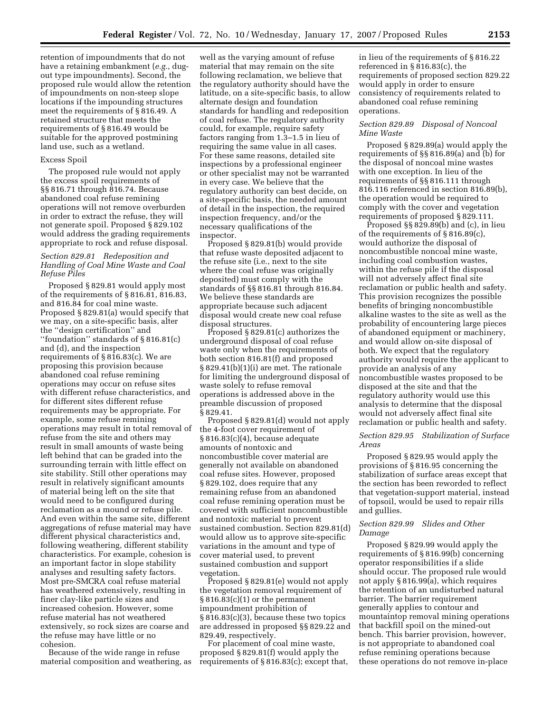retention of impoundments that do not have a retaining embankment (*e.g.*, dugout type impoundments). Second, the proposed rule would allow the retention of impoundments on non-steep slope locations if the impounding structures meet the requirements of § 816.49. A retained structure that meets the requirements of § 816.49 would be suitable for the approved postmining land use, such as a wetland.

#### Excess Spoil

The proposed rule would not apply the excess spoil requirements of §§ 816.71 through 816.74. Because abandoned coal refuse remining operations will not remove overburden in order to extract the refuse, they will not generate spoil. Proposed § 829.102 would address the grading requirements appropriate to rock and refuse disposal.

#### *Section 829.81 Redeposition and Handling of Coal Mine Waste and Coal Refuse Piles*

Proposed § 829.81 would apply most of the requirements of § 816.81, 816.83, and 816.84 for coal mine waste. Proposed § 829.81(a) would specify that we may, on a site-specific basis, alter the ''design certification'' and ''foundation'' standards of § 816.81(c) and (d), and the inspection requirements of § 816.83(c). We are proposing this provision because abandoned coal refuse remining operations may occur on refuse sites with different refuse characteristics, and for different sites different refuse requirements may be appropriate. For example, some refuse remining operations may result in total removal of refuse from the site and others may result in small amounts of waste being left behind that can be graded into the surrounding terrain with little effect on site stability. Still other operations may result in relatively significant amounts of material being left on the site that would need to be configured during reclamation as a mound or refuse pile. And even within the same site, different aggregations of refuse material may have different physical characteristics and, following weathering, different stability characteristics. For example, cohesion is an important factor in slope stability analyses and resulting safety factors. Most pre-SMCRA coal refuse material has weathered extensively, resulting in finer clay-like particle sizes and increased cohesion. However, some refuse material has not weathered extensively, so rock sizes are coarse and the refuse may have little or no cohesion.

Because of the wide range in refuse material composition and weathering, as

well as the varying amount of refuse material that may remain on the site following reclamation, we believe that the regulatory authority should have the latitude, on a site-specific basis, to allow alternate design and foundation standards for handling and redeposition of coal refuse. The regulatory authority could, for example, require safety factors ranging from 1.3–1.5 in lieu of requiring the same value in all cases. For these same reasons, detailed site inspections by a professional engineer or other specialist may not be warranted in every case. We believe that the regulatory authority can best decide, on a site-specific basis, the needed amount of detail in the inspection, the required inspection frequency, and/or the necessary qualifications of the inspector.

Proposed § 829.81(b) would provide that refuse waste deposited adjacent to the refuse site (i.e., next to the site where the coal refuse was originally deposited) must comply with the standards of §§ 816.81 through 816.84. We believe these standards are appropriate because such adjacent disposal would create new coal refuse disposal structures.

Proposed § 829.81(c) authorizes the underground disposal of coal refuse waste only when the requirements of both section 816.81(f) and proposed § 829.41(b)(1)(i) are met. The rationale for limiting the underground disposal of waste solely to refuse removal operations is addressed above in the preamble discussion of proposed § 829.41.

Proposed § 829.81(d) would not apply the 4-foot cover requirement of § 816.83(c)(4), because adequate amounts of nontoxic and noncombustible cover material are generally not available on abandoned coal refuse sites. However, proposed § 829.102, does require that any remaining refuse from an abandoned coal refuse remining operation must be covered with sufficient noncombustible and nontoxic material to prevent sustained combustion. Section 829.81(d) would allow us to approve site-specific variations in the amount and type of cover material used, to prevent sustained combustion and support vegetation.

Proposed § 829.81(e) would not apply the vegetation removal requirement of  $\S 816.83(c)(1)$  or the permanent impoundment prohibition of § 816.83(c)(3), because these two topics are addressed in proposed §§ 829.22 and 829.49, respectively.

For placement of coal mine waste, proposed § 829.81(f) would apply the requirements of § 816.83(c); except that,

in lieu of the requirements of § 816.22 referenced in § 816.83(c), the requirements of proposed section 829.22 would apply in order to ensure consistency of requirements related to abandoned coal refuse remining operations.

## *Section 829.89 Disposal of Noncoal Mine Waste*

Proposed § 829.89(a) would apply the requirements of §§ 816.89(a) and (b) for the disposal of noncoal mine wastes with one exception. In lieu of the requirements of §§ 816.111 through 816.116 referenced in section 816.89(b), the operation would be required to comply with the cover and vegetation requirements of proposed § 829.111.

Proposed §§ 829.89(b) and (c), in lieu of the requirements of § 816.89(c), would authorize the disposal of noncombustible noncoal mine waste, including coal combustion wastes, within the refuse pile if the disposal will not adversely affect final site reclamation or public health and safety. This provision recognizes the possible benefits of bringing noncombustible alkaline wastes to the site as well as the probability of encountering large pieces of abandoned equipment or machinery, and would allow on-site disposal of both. We expect that the regulatory authority would require the applicant to provide an analysis of any noncombustible wastes proposed to be disposed at the site and that the regulatory authority would use this analysis to determine that the disposal would not adversely affect final site reclamation or public health and safety.

# *Section 829.95 Stabilization of Surface Areas*

Proposed § 829.95 would apply the provisions of § 816.95 concerning the stabilization of surface areas except that the section has been reworded to reflect that vegetation-support material, instead of topsoil, would be used to repair rills and gullies.

## *Section 829.99 Slides and Other Damage*

Proposed § 829.99 would apply the requirements of § 816.99(b) concerning operator responsibilities if a slide should occur. The proposed rule would not apply § 816.99(a), which requires the retention of an undisturbed natural barrier. The barrier requirement generally applies to contour and mountaintop removal mining operations that backfill spoil on the mined-out bench. This barrier provision, however, is not appropriate to abandoned coal refuse remining operations because these operations do not remove in-place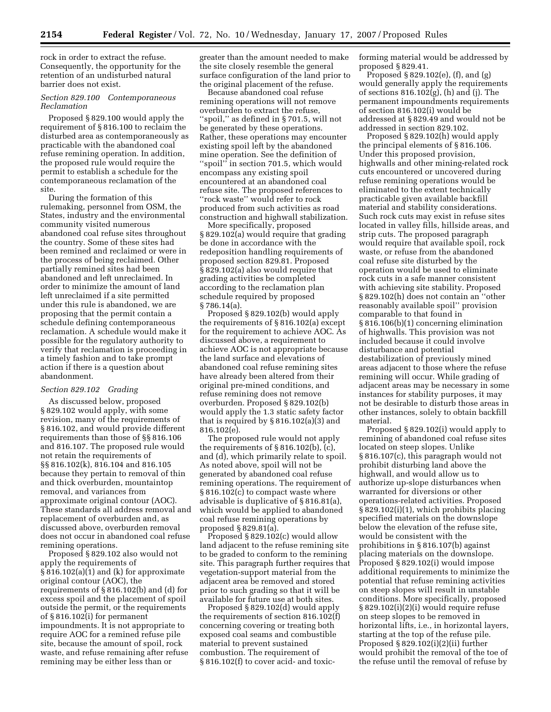rock in order to extract the refuse. Consequently, the opportunity for the retention of an undisturbed natural barrier does not exist.

# *Section 829.100 Contemporaneous Reclamation*

Proposed § 829.100 would apply the requirement of § 816.100 to reclaim the disturbed area as contemporaneously as practicable with the abandoned coal refuse remining operation. In addition, the proposed rule would require the permit to establish a schedule for the contemporaneous reclamation of the site.

During the formation of this rulemaking, personnel from OSM, the States, industry and the environmental community visited numerous abandoned coal refuse sites throughout the country. Some of these sites had been remined and reclaimed or were in the process of being reclaimed. Other partially remined sites had been abandoned and left unreclaimed. In order to minimize the amount of land left unreclaimed if a site permitted under this rule is abandoned, we are proposing that the permit contain a schedule defining contemporaneous reclamation. A schedule would make it possible for the regulatory authority to verify that reclamation is proceeding in a timely fashion and to take prompt action if there is a question about abandonment.

# *Section 829.102 Grading*

As discussed below, proposed § 829.102 would apply, with some revision, many of the requirements of § 816.102, and would provide different requirements than those of §§ 816.106 and 816.107. The proposed rule would not retain the requirements of §§ 816.102(k), 816.104 and 816.105 because they pertain to removal of thin and thick overburden, mountaintop removal, and variances from approximate original contour (AOC). These standards all address removal and replacement of overburden and, as discussed above, overburden removal does not occur in abandoned coal refuse remining operations.

Proposed § 829.102 also would not apply the requirements of § 816.102(a)(1) and (k) for approximate original contour (AOC), the requirements of § 816.102(b) and (d) for excess spoil and the placement of spoil outside the permit, or the requirements of § 816.102(i) for permanent impoundments. It is not appropriate to require AOC for a remined refuse pile site, because the amount of spoil, rock waste, and refuse remaining after refuse remining may be either less than or

greater than the amount needed to make the site closely resemble the general surface configuration of the land prior to the original placement of the refuse.

Because abandoned coal refuse remining operations will not remove overburden to extract the refuse, ''spoil,'' as defined in § 701.5, will not be generated by these operations. Rather, these operations may encounter existing spoil left by the abandoned mine operation. See the definition of ''spoil'' in section 701.5, which would encompass any existing spoil encountered at an abandoned coal refuse site. The proposed references to ''rock waste'' would refer to rock produced from such activities as road construction and highwall stabilization.

More specifically, proposed § 829.102(a) would require that grading be done in accordance with the redeposition handling requirements of proposed section 829.81. Proposed § 829.102(a) also would require that grading activities be completed according to the reclamation plan schedule required by proposed § 786.14(a).

Proposed § 829.102(b) would apply the requirements of § 816.102(a) except for the requirement to achieve AOC. As discussed above, a requirement to achieve AOC is not appropriate because the land surface and elevations of abandoned coal refuse remining sites have already been altered from their original pre-mined conditions, and refuse remining does not remove overburden. Proposed § 829.102(b) would apply the 1.3 static safety factor that is required by § 816.102(a)(3) and 816.102(e).

The proposed rule would not apply the requirements of § 816.102(b), (c), and (d), which primarily relate to spoil. As noted above, spoil will not be generated by abandoned coal refuse remining operations. The requirement of § 816.102(c) to compact waste where advisable is duplicative of § 816.81(a), which would be applied to abandoned coal refuse remining operations by proposed § 829.81(a).

Proposed § 829.102(c) would allow land adjacent to the refuse remining site to be graded to conform to the remining site. This paragraph further requires that vegetation-support material from the adjacent area be removed and stored prior to such grading so that it will be available for future use at both sites.

Proposed § 829.102(d) would apply the requirements of section 816.102(f) concerning covering or treating both exposed coal seams and combustible material to prevent sustained combustion. The requirement of § 816.102(f) to cover acid- and toxicforming material would be addressed by proposed § 829.41.

Proposed § 829.102(e), (f), and (g) would generally apply the requirements of sections 816.102(g), (h) and (j). The permanent impoundments requirements of section 816.102(i) would be addressed at § 829.49 and would not be addressed in section 829.102.

Proposed § 829.102(h) would apply the principal elements of § 816.106. Under this proposed provision, highwalls and other mining-related rock cuts encountered or uncovered during refuse remining operations would be eliminated to the extent technically practicable given available backfill material and stability considerations. Such rock cuts may exist in refuse sites located in valley fills, hillside areas, and strip cuts. The proposed paragraph would require that available spoil, rock waste, or refuse from the abandoned coal refuse site disturbed by the operation would be used to eliminate rock cuts in a safe manner consistent with achieving site stability. Proposed § 829.102(h) does not contain an ''other reasonably available spoil'' provision comparable to that found in § 816.106(b)(1) concerning elimination of highwalls. This provision was not included because it could involve disturbance and potential destabilization of previously mined areas adjacent to those where the refuse remining will occur. While grading of adjacent areas may be necessary in some instances for stability purposes, it may not be desirable to disturb those areas in other instances, solely to obtain backfill material.

Proposed § 829.102(i) would apply to remining of abandoned coal refuse sites located on steep slopes. Unlike § 816.107(c), this paragraph would not prohibit disturbing land above the highwall, and would allow us to authorize up-slope disturbances when warranted for diversions or other operations-related activities. Proposed § 829.102(i)(1), which prohibits placing specified materials on the downslope below the elevation of the refuse site, would be consistent with the prohibitions in § 816.107(b) against placing materials on the downslope. Proposed § 829.102(i) would impose additional requirements to minimize the potential that refuse remining activities on steep slopes will result in unstable conditions. More specifically, proposed § 829.102(i)(2)(i) would require refuse on steep slopes to be removed in horizontal lifts, i.e., in horizontal layers, starting at the top of the refuse pile. Proposed  $\S 829.102(i)(2)(ii)$  further would prohibit the removal of the toe of the refuse until the removal of refuse by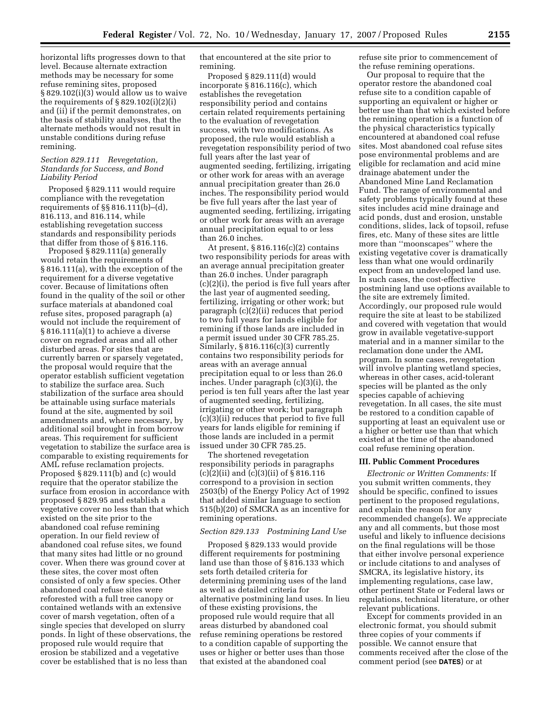horizontal lifts progresses down to that level. Because alternate extraction methods may be necessary for some refuse remining sites, proposed § 829.102(i)(3) would allow us to waive the requirements of  $\S 829.102(i)(2)(i)$ and (ii) if the permit demonstrates, on the basis of stability analyses, that the alternate methods would not result in unstable conditions during refuse remining.

# *Section 829.111 Revegetation, Standards for Success, and Bond Liability Period*

Proposed § 829.111 would require compliance with the revegetation requirements of §§ 816.111(b)–(d), 816.113, and 816.114, while establishing revegetation success standards and responsibility periods that differ from those of § 816.116.

Proposed § 829.111(a) generally would retain the requirements of § 816.111(a), with the exception of the requirement for a diverse vegetative cover. Because of limitations often found in the quality of the soil or other surface materials at abandoned coal refuse sites, proposed paragraph (a) would not include the requirement of § 816.111(a)(1) to achieve a diverse cover on regraded areas and all other disturbed areas. For sites that are currently barren or sparsely vegetated, the proposal would require that the operator establish sufficient vegetation to stabilize the surface area. Such stabilization of the surface area should be attainable using surface materials found at the site, augmented by soil amendments and, where necessary, by additional soil brought in from borrow areas. This requirement for sufficient vegetation to stabilize the surface area is comparable to existing requirements for AML refuse reclamation projects. Proposed § 829.111(b) and (c) would require that the operator stabilize the surface from erosion in accordance with proposed § 829.95 and establish a vegetative cover no less than that which existed on the site prior to the abandoned coal refuse remining operation. In our field review of abandoned coal refuse sites, we found that many sites had little or no ground cover. When there was ground cover at these sites, the cover most often consisted of only a few species. Other abandoned coal refuse sites were reforested with a full tree canopy or contained wetlands with an extensive cover of marsh vegetation, often of a single species that developed on slurry ponds. In light of these observations, the proposed rule would require that erosion be stabilized and a vegetative cover be established that is no less than

that encountered at the site prior to remining.

Proposed § 829.111(d) would incorporate § 816.116(c), which establishes the revegetation responsibility period and contains certain related requirements pertaining to the evaluation of revegetation success, with two modifications. As proposed, the rule would establish a revegetation responsibility period of two full years after the last year of augmented seeding, fertilizing, irrigating or other work for areas with an average annual precipitation greater than 26.0 inches. The responsibility period would be five full years after the last year of augmented seeding, fertilizing, irrigating or other work for areas with an average annual precipitation equal to or less than 26.0 inches.

At present,  $§ 816.116(c)(2)$  contains two responsibility periods for areas with an average annual precipitation greater than 26.0 inches. Under paragraph (c)(2)(i), the period is five full years after the last year of augmented seeding, fertilizing, irrigating or other work; but paragraph  $(c)(2)(ii)$  reduces that period to two full years for lands eligible for remining if those lands are included in a permit issued under 30 CFR 785.25. Similarly, § 816.116(c)(3) currently contains two responsibility periods for areas with an average annual precipitation equal to or less than 26.0 inches. Under paragraph (c)(3)(i), the period is ten full years after the last year of augmented seeding, fertilizing, irrigating or other work; but paragraph (c)(3)(ii) reduces that period to five full years for lands eligible for remining if those lands are included in a permit issued under 30 CFR 785.25.

The shortened revegetation responsibility periods in paragraphs (c)(2)(ii) and (c)(3)(ii) of § 816.116 correspond to a provision in section 2503(b) of the Energy Policy Act of 1992 that added similar language to section 515(b)(20) of SMCRA as an incentive for remining operations.

#### *Section 829.133 Postmining Land Use*

Proposed § 829.133 would provide different requirements for postmining land use than those of § 816.133 which sets forth detailed criteria for determining premining uses of the land as well as detailed criteria for alternative postmining land uses. In lieu of these existing provisions, the proposed rule would require that all areas disturbed by abandoned coal refuse remining operations be restored to a condition capable of supporting the uses or higher or better uses than those that existed at the abandoned coal

refuse site prior to commencement of the refuse remining operations.

Our proposal to require that the operator restore the abandoned coal refuse site to a condition capable of supporting an equivalent or higher or better use than that which existed before the remining operation is a function of the physical characteristics typically encountered at abandoned coal refuse sites. Most abandoned coal refuse sites pose environmental problems and are eligible for reclamation and acid mine drainage abatement under the Abandoned Mine Land Reclamation Fund. The range of environmental and safety problems typically found at these sites includes acid mine drainage and acid ponds, dust and erosion, unstable conditions, slides, lack of topsoil, refuse fires, etc. Many of these sites are little more than ''moonscapes'' where the existing vegetative cover is dramatically less than what one would ordinarily expect from an undeveloped land use. In such cases, the cost-effective postmining land use options available to the site are extremely limited. Accordingly, our proposed rule would require the site at least to be stabilized and covered with vegetation that would grow in available vegetative-support material and in a manner similar to the reclamation done under the AML program. In some cases, revegetation will involve planting wetland species, whereas in other cases, acid-tolerant species will be planted as the only species capable of achieving revegetation. In all cases, the site must be restored to a condition capable of supporting at least an equivalent use or a higher or better use than that which existed at the time of the abandoned coal refuse remining operation.

#### **III. Public Comment Procedures**

*Electronic or Written Comments:* If you submit written comments, they should be specific, confined to issues pertinent to the proposed regulations, and explain the reason for any recommended change(s). We appreciate any and all comments, but those most useful and likely to influence decisions on the final regulations will be those that either involve personal experience or include citations to and analyses of SMCRA, its legislative history, its implementing regulations, case law, other pertinent State or Federal laws or regulations, technical literature, or other relevant publications.

Except for comments provided in an electronic format, you should submit three copies of your comments if possible. We cannot ensure that comments received after the close of the comment period (see **DATES**) or at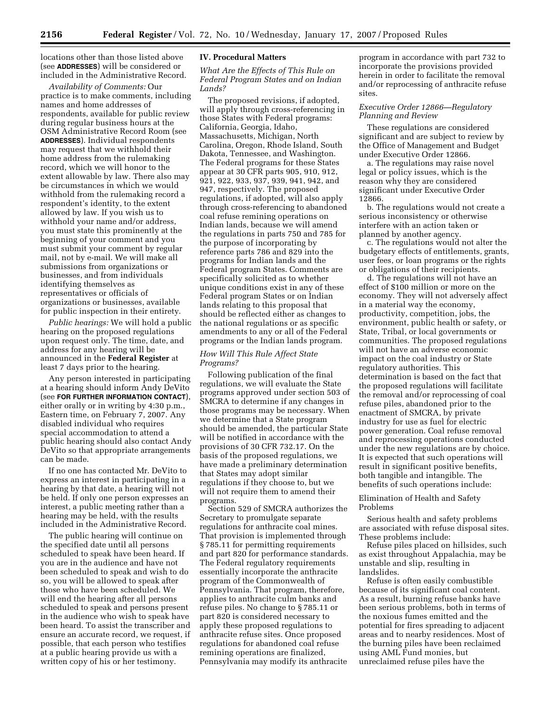locations other than those listed above (see **ADDRESSES**) will be considered or included in the Administrative Record.

*Availability of Comments:* Our practice is to make comments, including names and home addresses of respondents, available for public review during regular business hours at the OSM Administrative Record Room (see **ADDRESSES**). Individual respondents may request that we withhold their home address from the rulemaking record, which we will honor to the extent allowable by law. There also may be circumstances in which we would withhold from the rulemaking record a respondent's identity, to the extent allowed by law. If you wish us to withhold your name and/or address, you must state this prominently at the beginning of your comment and you must submit your comment by regular mail, not by e-mail. We will make all submissions from organizations or businesses, and from individuals identifying themselves as representatives or officials of organizations or businesses, available for public inspection in their entirety.

*Public hearings:* We will hold a public hearing on the proposed regulations upon request only. The time, date, and address for any hearing will be announced in the **Federal Register** at least 7 days prior to the hearing.

Any person interested in participating at a hearing should inform Andy DeVito (see **FOR FURTHER INFORMATION CONTACT**), either orally or in writing by 4:30 p.m., Eastern time, on February 7, 2007. Any disabled individual who requires special accommodation to attend a public hearing should also contact Andy DeVito so that appropriate arrangements can be made.

If no one has contacted Mr. DeVito to express an interest in participating in a hearing by that date, a hearing will not be held. If only one person expresses an interest, a public meeting rather than a hearing may be held, with the results included in the Administrative Record.

The public hearing will continue on the specified date until all persons scheduled to speak have been heard. If you are in the audience and have not been scheduled to speak and wish to do so, you will be allowed to speak after those who have been scheduled. We will end the hearing after all persons scheduled to speak and persons present in the audience who wish to speak have been heard. To assist the transcriber and ensure an accurate record, we request, if possible, that each person who testifies at a public hearing provide us with a written copy of his or her testimony.

#### **IV. Procedural Matters**

*What Are the Effects of This Rule on Federal Program States and on Indian Lands?* 

The proposed revisions, if adopted, will apply through cross-referencing in those States with Federal programs: California, Georgia, Idaho, Massachusetts, Michigan, North Carolina, Oregon, Rhode Island, South Dakota, Tennessee, and Washington. The Federal programs for these States appear at 30 CFR parts 905, 910, 912, 921, 922, 933, 937, 939, 941, 942, and 947, respectively. The proposed regulations, if adopted, will also apply through cross-referencing to abandoned coal refuse remining operations on Indian lands, because we will amend the regulations in parts 750 and 785 for the purpose of incorporating by reference parts 786 and 829 into the programs for Indian lands and the Federal program States. Comments are specifically solicited as to whether unique conditions exist in any of these Federal program States or on Indian lands relating to this proposal that should be reflected either as changes to the national regulations or as specific amendments to any or all of the Federal programs or the Indian lands program.

# *How Will This Rule Affect State Programs?*

Following publication of the final regulations, we will evaluate the State programs approved under section 503 of SMCRA to determine if any changes in those programs may be necessary. When we determine that a State program should be amended, the particular State will be notified in accordance with the provisions of 30 CFR 732.17. On the basis of the proposed regulations, we have made a preliminary determination that States may adopt similar regulations if they choose to, but we will not require them to amend their programs.

Section 529 of SMCRA authorizes the Secretary to promulgate separate regulations for anthracite coal mines. That provision is implemented through § 785.11 for permitting requirements and part 820 for performance standards. The Federal regulatory requirements essentially incorporate the anthracite program of the Commonwealth of Pennsylvania. That program, therefore, applies to anthracite culm banks and refuse piles. No change to § 785.11 or part 820 is considered necessary to apply these proposed regulations to anthracite refuse sites. Once proposed regulations for abandoned coal refuse remining operations are finalized, Pennsylvania may modify its anthracite

program in accordance with part 732 to incorporate the provisions provided herein in order to facilitate the removal and/or reprocessing of anthracite refuse sites.

## *Executive Order 12866—Regulatory Planning and Review*

These regulations are considered significant and are subject to review by the Office of Management and Budget under Executive Order 12866.

a. The regulations may raise novel legal or policy issues, which is the reason why they are considered significant under Executive Order 12866.

b. The regulations would not create a serious inconsistency or otherwise interfere with an action taken or planned by another agency.

c. The regulations would not alter the budgetary effects of entitlements, grants, user fees, or loan programs or the rights or obligations of their recipients.

d. The regulations will not have an effect of \$100 million or more on the economy. They will not adversely affect in a material way the economy, productivity, competition, jobs, the environment, public health or safety, or State, Tribal, or local governments or communities. The proposed regulations will not have an adverse economic impact on the coal industry or State regulatory authorities. This determination is based on the fact that the proposed regulations will facilitate the removal and/or reprocessing of coal refuse piles, abandoned prior to the enactment of SMCRA, by private industry for use as fuel for electric power generation. Coal refuse removal and reprocessing operations conducted under the new regulations are by choice. It is expected that such operations will result in significant positive benefits, both tangible and intangible. The benefits of such operations include:

# Elimination of Health and Safety Problems

Serious health and safety problems are associated with refuse disposal sites. These problems include:

Refuse piles placed on hillsides, such as exist throughout Appalachia, may be unstable and slip, resulting in landslides.

Refuse is often easily combustible because of its significant coal content. As a result, burning refuse banks have been serious problems, both in terms of the noxious fumes emitted and the potential for fires spreading to adjacent areas and to nearby residences. Most of the burning piles have been reclaimed using AML Fund monies, but unreclaimed refuse piles have the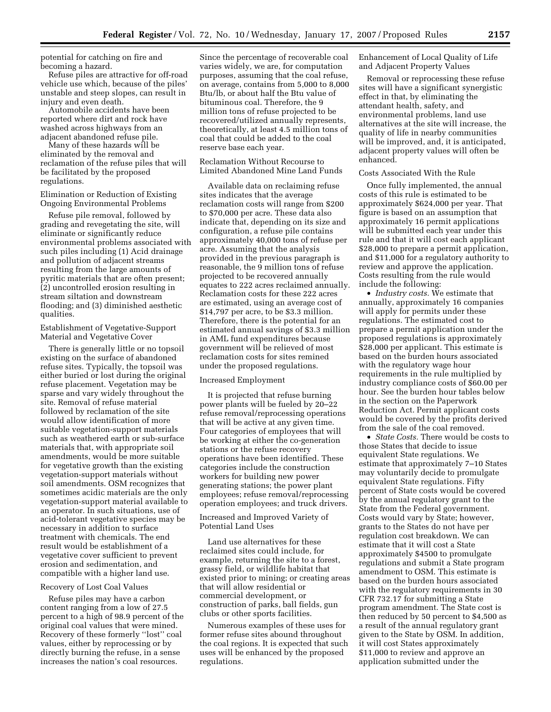potential for catching on fire and becoming a hazard.

Refuse piles are attractive for off-road vehicle use which, because of the piles' unstable and steep slopes, can result in injury and even death.

Automobile accidents have been reported where dirt and rock have washed across highways from an adjacent abandoned refuse pile.

Many of these hazards will be eliminated by the removal and reclamation of the refuse piles that will be facilitated by the proposed regulations.

#### Elimination or Reduction of Existing Ongoing Environmental Problems

Refuse pile removal, followed by grading and revegetating the site, will eliminate or significantly reduce environmental problems associated with such piles including (1) Acid drainage and pollution of adjacent streams resulting from the large amounts of pyritic materials that are often present; (2) uncontrolled erosion resulting in stream siltation and downstream flooding; and (3) diminished aesthetic qualities.

#### Establishment of Vegetative-Support Material and Vegetative Cover

There is generally little or no topsoil existing on the surface of abandoned refuse sites. Typically, the topsoil was either buried or lost during the original refuse placement. Vegetation may be sparse and vary widely throughout the site. Removal of refuse material followed by reclamation of the site would allow identification of more suitable vegetation-support materials such as weathered earth or sub-surface materials that, with appropriate soil amendments, would be more suitable for vegetative growth than the existing vegetation-support materials without soil amendments. OSM recognizes that sometimes acidic materials are the only vegetation-support material available to an operator. In such situations, use of acid-tolerant vegetative species may be necessary in addition to surface treatment with chemicals. The end result would be establishment of a vegetative cover sufficient to prevent erosion and sedimentation, and compatible with a higher land use.

#### Recovery of Lost Coal Values

Refuse piles may have a carbon content ranging from a low of 27.5 percent to a high of 98.9 percent of the original coal values that were mined. Recovery of these formerly ''lost'' coal values, either by reprocessing or by directly burning the refuse, in a sense increases the nation's coal resources.

Since the percentage of recoverable coal varies widely, we are, for computation purposes, assuming that the coal refuse, on average, contains from 5,000 to 8,000 Btu/lb, or about half the Btu value of bituminous coal. Therefore, the 9 million tons of refuse projected to be recovered/utilized annually represents, theoretically, at least 4.5 million tons of coal that could be added to the coal reserve base each year.

Reclamation Without Recourse to Limited Abandoned Mine Land Funds

Available data on reclaiming refuse sites indicates that the average reclamation costs will range from \$200 to \$70,000 per acre. These data also indicate that, depending on its size and configuration, a refuse pile contains approximately 40,000 tons of refuse per acre. Assuming that the analysis provided in the previous paragraph is reasonable, the 9 million tons of refuse projected to be recovered annually equates to 222 acres reclaimed annually. Reclamation costs for these 222 acres are estimated, using an average cost of \$14,797 per acre, to be \$3.3 million. Therefore, there is the potential for an estimated annual savings of \$3.3 million in AML fund expenditures because government will be relieved of most reclamation costs for sites remined under the proposed regulations.

# Increased Employment

It is projected that refuse burning power plants will be fueled by 20–22 refuse removal/reprocessing operations that will be active at any given time. Four categories of employees that will be working at either the co-generation stations or the refuse recovery operations have been identified. These categories include the construction workers for building new power generating stations; the power plant employees; refuse removal/reprocessing operation employees; and truck drivers.

# Increased and Improved Variety of Potential Land Uses

Land use alternatives for these reclaimed sites could include, for example, returning the site to a forest, grassy field, or wildlife habitat that existed prior to mining; or creating areas that will allow residential or commercial development, or construction of parks, ball fields, gun clubs or other sports facilities.

Numerous examples of these uses for former refuse sites abound throughout the coal regions. It is expected that such uses will be enhanced by the proposed regulations.

Enhancement of Local Quality of Life and Adjacent Property Values

Removal or reprocessing these refuse sites will have a significant synergistic effect in that, by eliminating the attendant health, safety, and environmental problems, land use alternatives at the site will increase, the quality of life in nearby communities will be improved, and, it is anticipated, adjacent property values will often be enhanced.

#### Costs Associated With the Rule

Once fully implemented, the annual costs of this rule is estimated to be approximately \$624,000 per year. That figure is based on an assumption that approximately 16 permit applications will be submitted each year under this rule and that it will cost each applicant \$28,000 to prepare a permit application, and \$11,000 for a regulatory authority to review and approve the application. Costs resulting from the rule would include the following:

• *Industry costs.* We estimate that annually, approximately 16 companies will apply for permits under these regulations. The estimated cost to prepare a permit application under the proposed regulations is approximately \$28,000 per applicant. This estimate is based on the burden hours associated with the regulatory wage hour requirements in the rule multiplied by industry compliance costs of \$60.00 per hour. See the burden hour tables below in the section on the Paperwork Reduction Act. Permit applicant costs would be covered by the profits derived from the sale of the coal removed.

• *State Costs.* There would be costs to those States that decide to issue equivalent State regulations. We estimate that approximately 7–10 States may voluntarily decide to promulgate equivalent State regulations. Fifty percent of State costs would be covered by the annual regulatory grant to the State from the Federal government. Costs would vary by State; however, grants to the States do not have per regulation cost breakdown. We can estimate that it will cost a State approximately \$4500 to promulgate regulations and submit a State program amendment to OSM. This estimate is based on the burden hours associated with the regulatory requirements in 30 CFR 732.17 for submitting a State program amendment. The State cost is then reduced by 50 percent to \$4,500 as a result of the annual regulatory grant given to the State by OSM. In addition, it will cost States approximately \$11,000 to review and approve an application submitted under the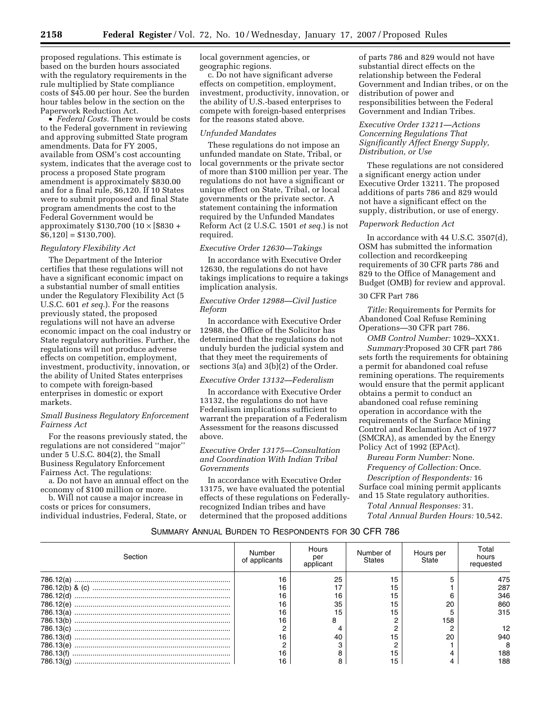proposed regulations. This estimate is based on the burden hours associated with the regulatory requirements in the rule multiplied by State compliance costs of \$45.00 per hour. See the burden hour tables below in the section on the Paperwork Reduction Act.

• *Federal Costs.* There would be costs to the Federal government in reviewing and approving submitted State program amendments. Data for FY 2005, available from OSM's cost accounting system, indicates that the average cost to process a proposed State program amendment is approximately \$830.00 and for a final rule, \$6,120. If 10 States were to submit proposed and final State program amendments the cost to the Federal Government would be approximately \$130,700 (10 × [\$830 +  $\overline{$6,120}$  = \$130,700).

# *Regulatory Flexibility Act*

The Department of the Interior certifies that these regulations will not have a significant economic impact on a substantial number of small entities under the Regulatory Flexibility Act (5 U.S.C. 601 *et seq.*). For the reasons previously stated, the proposed regulations will not have an adverse economic impact on the coal industry or State regulatory authorities. Further, the regulations will not produce adverse effects on competition, employment, investment, productivity, innovation, or the ability of United States enterprises to compete with foreign-based enterprises in domestic or export markets.

#### *Small Business Regulatory Enforcement Fairness Act*

For the reasons previously stated, the regulations are not considered ''major'' under 5 U.S.C. 804(2), the Small Business Regulatory Enforcement Fairness Act. The regulations:

a. Do not have an annual effect on the economy of \$100 million or more.

b. Will not cause a major increase in costs or prices for consumers, individual industries, Federal, State, or local government agencies, or geographic regions.

c. Do not have significant adverse effects on competition, employment, investment, productivity, innovation, or the ability of U.S.-based enterprises to compete with foreign-based enterprises for the reasons stated above.

#### *Unfunded Mandates*

These regulations do not impose an unfunded mandate on State, Tribal, or local governments or the private sector of more than \$100 million per year. The regulations do not have a significant or unique effect on State, Tribal, or local governments or the private sector. A statement containing the information required by the Unfunded Mandates Reform Act (2 U.S.C. 1501 *et seq.*) is not required.

#### *Executive Order 12630—Takings*

In accordance with Executive Order 12630, the regulations do not have takings implications to require a takings implication analysis.

## *Executive Order 12988—Civil Justice Reform*

In accordance with Executive Order 12988, the Office of the Solicitor has determined that the regulations do not unduly burden the judicial system and that they meet the requirements of sections 3(a) and 3(b)(2) of the Order.

## *Executive Order 13132—Federalism*

In accordance with Executive Order 13132, the regulations do not have Federalism implications sufficient to warrant the preparation of a Federalism Assessment for the reasons discussed above.

## *Executive Order 13175—Consultation and Coordination With Indian Tribal Governments*

In accordance with Executive Order 13175, we have evaluated the potential effects of these regulations on Federallyrecognized Indian tribes and have determined that the proposed additions

of parts 786 and 829 would not have substantial direct effects on the relationship between the Federal Government and Indian tribes, or on the distribution of power and responsibilities between the Federal Government and Indian Tribes.

## *Executive Order 13211—Actions Concerning Regulations That Significantly Affect Energy Supply, Distribution, or Use*

These regulations are not considered a significant energy action under Executive Order 13211. The proposed additions of parts 786 and 829 would not have a significant effect on the supply, distribution, or use of energy.

## *Paperwork Reduction Act*

In accordance with 44 U.S.C. 3507(d), OSM has submitted the information collection and recordkeeping requirements of 30 CFR parts 786 and 829 to the Office of Management and Budget (OMB) for review and approval.

# 30 CFR Part 786

*Title:* Requirements for Permits for Abandoned Coal Refuse Remining Operations—30 CFR part 786.

*OMB Control Number:* 1029–XXX1. *Summary:*Proposed 30 CFR part 786 sets forth the requirements for obtaining a permit for abandoned coal refuse remining operations. The requirements would ensure that the permit applicant obtains a permit to conduct an abandoned coal refuse remining operation in accordance with the requirements of the Surface Mining Control and Reclamation Act of 1977 (SMCRA), as amended by the Energy Policy Act of 1992 (EPAct).

*Bureau Form Number:* None. *Frequency of Collection:* Once.

*Description of Respondents:* 16 Surface coal mining permit applicants and 15 State regulatory authorities.

*Total Annual Responses:* 31. *Total Annual Burden Hours:* 10,542.

# SUMMARY ANNUAL BURDEN TO RESPONDENTS FOR 30 CFR 786

| Section   | Number<br>of applicants | Hours<br>per<br>applicant | Number of<br><b>States</b> | Hours per<br>State | Total<br>hours<br>requested |
|-----------|-------------------------|---------------------------|----------------------------|--------------------|-----------------------------|
|           | 16                      | 25                        | 15                         |                    | 475                         |
|           | 16                      |                           | 15                         |                    | 287                         |
| 786.12(d) | 16                      | 16                        | 15                         |                    | 346                         |
| 786.12(e) | 16                      | 35                        | 15                         | 20                 | 860                         |
| 786.13(a) | 16                      | 15                        | 15                         |                    | 315                         |
| 786.13(b) | 16                      | 8                         |                            | 158                |                             |
| 786.13(c) |                         |                           |                            |                    | 12                          |
| 786.13(d) |                         | 40                        | 15                         | 20                 | 940                         |
| 786.13(e) |                         |                           |                            |                    | 8                           |
| 786.13(f) | 16                      |                           | 15                         |                    | 188                         |
|           | 16                      |                           | 15                         |                    | 188                         |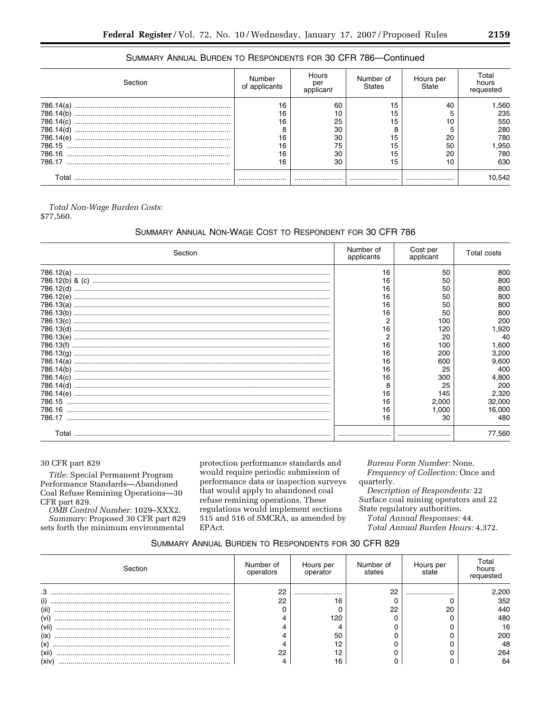| Section   | Number<br>of applicants | Hours<br>per<br>applicant | Number of<br><b>States</b> | Hours per<br>State | Total<br>hours<br>requested |
|-----------|-------------------------|---------------------------|----------------------------|--------------------|-----------------------------|
| 786.14(a) | 16                      | 60                        | 15                         | 40                 | 560. ا                      |
| 786.14(b) | 16                      | 10                        | 15                         |                    | 235                         |
| 786.14(c) | 16                      | 25                        | 15                         | 10                 | 550                         |
| 786.14(d) | 8                       | 30                        | 8                          |                    | 280                         |
| 786.14(e) | 16                      | 30                        | 15                         | 20                 | 780                         |
|           | 16                      | 75                        | 15                         | 50                 | 950,                        |
|           | 16                      | 30                        | 15                         | 20                 | 780                         |
|           | 16                      | 30                        | 15                         | 10                 | 630                         |
|           |                         |                           |                            |                    | 0.542                       |

# SUMMARY ANNUAL BURDEN TO RESPONDENTS FOR 30 CFR 786-Continued

Total Non-Wage Burden Costs:

\$77,560.

# SUMMARY ANNUAL NON-WAGE COST TO RESPONDENT FOR 30 CFR 786

| Section | Number of<br>applicants | Cost per<br>applicant | Total costs |
|---------|-------------------------|-----------------------|-------------|
|         | 16                      | 50                    | 800         |
|         | 16                      | 50                    | 800         |
|         | 16                      | 50                    | 800         |
|         | 16                      | 50                    | 800         |
|         | 16                      | 50                    | 800         |
|         | 16                      | 50                    | 800         |
|         | 2                       | 100                   | 200         |
|         | 16                      | 120                   | 1.920       |
|         | 2                       | 20                    | 40          |
|         | 16                      | 100                   | 1,600       |
|         | 16                      | 200                   | 3,200       |
|         | 16                      | 600                   | 9.600       |
|         | 16                      | 25                    | 400         |
|         | 16                      | 300                   | 4.800       |
|         | 8                       | 25                    | 200         |
|         | 16                      | 145                   | 2,320       |
|         | 16                      | 2.000                 | 32,000      |
|         | 16                      | 1.000                 | 16.000      |
|         | 16                      | 30                    | 480         |
| Total   |                         |                       | 77.560      |

# 30 CFR part 829

Title: Special Permanent Program Performance Standards-Abandoned Coal Refuse Remining Operations-30 CFR part 829.

OMB Control Number: 1029–XXX2. Summary: Proposed 30 CFR part 829 sets forth the minimum environmental

protection performance standards and would require periodic submission of performance data or inspection surveys that would apply to abandoned coal refuse remining operations. These regulations would implement sections 515 and 516 of SMCRA, as amended by EPAct.

Bureau Form Number: None. Frequency of Collection: Once and quarterly.

Description of Respondents: 22 Surface coal mining operators and 22 State regulatory authorities.

Total Annual Responses: 44.

Total Annual Burden Hours: 4,372.

# SUMMARY ANNUAL BURDEN TO RESPONDENTS FOR 30 CFR 829

| Section | Number of<br>operators | Hours per<br>operator | Number of<br>states | Hours per<br>state | Гоtal<br>hours |
|---------|------------------------|-----------------------|---------------------|--------------------|----------------|
| ۍ.      | ററ<br>ے                |                       | 22                  |                    | 2,200          |
| (i)     | ററ                     | 16                    |                     |                    | 352            |
| (iii    |                        |                       | 22                  | 20                 | 440            |
| (vi)    |                        | 120                   |                     |                    | 480            |
| (vii    |                        |                       |                     |                    | 16             |
| (ix     |                        | 50                    |                     |                    | 200            |
| (x)     |                        | 10                    |                     |                    | 48             |
| (xii)   | ററ                     | 10                    |                     |                    | 264            |
| (xiv    |                        | 16                    |                     |                    | 64             |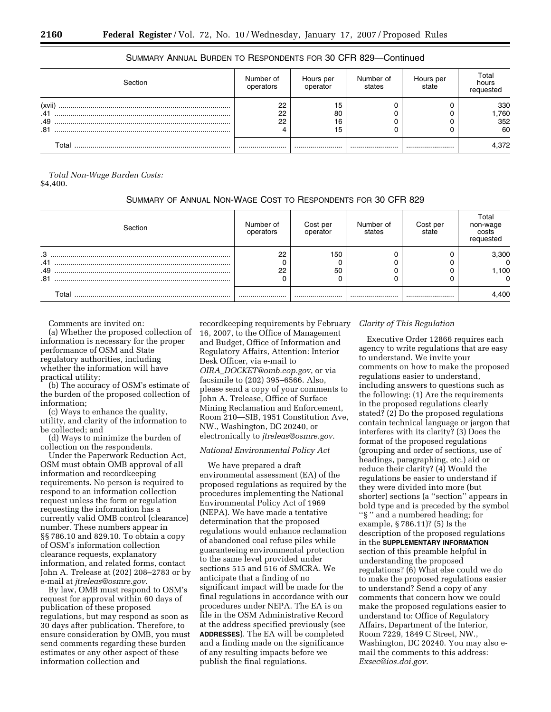| ection                      | Number of<br>operators | Hours per<br>operator | Number of<br>states | Hours per<br>state | Total<br>hours<br>requester |
|-----------------------------|------------------------|-----------------------|---------------------|--------------------|-----------------------------|
| (xvii)<br>.41<br>.49<br>.81 | 22<br>22<br>22         | 80<br>16              |                     |                    | 330<br>,760<br>352<br>60    |
| ⊺otal                       |                        |                       |                     |                    | 4,372                       |

# SUMMARY ANNUAL BURDEN TO RESPONDENTS FOR 30 CFR 829—Continued

*Total Non-Wage Burden Costs:*  \$4,400.

# SUMMARY OF ANNUAL NON-WAGE COST TO RESPONDENTS FOR 30 CFR 829

| Section | Number of<br>operators | Cost per<br>operator | Number of<br>states | Cost per<br>state | Total<br>non-wage<br>costs<br>requested |
|---------|------------------------|----------------------|---------------------|-------------------|-----------------------------------------|
| .3      | 22                     | 150                  |                     |                   | 3,300                                   |
| .41     |                        |                      |                     |                   | $\Omega$                                |
| .49     | 22                     | 50                   |                     |                   | 1,100                                   |
| .81     |                        |                      |                     |                   | $\Omega$                                |
| ™otal   |                        |                      |                     |                   | 4,400                                   |

Comments are invited on:

(a) Whether the proposed collection of information is necessary for the proper performance of OSM and State regulatory authorities, including whether the information will have practical utility;

(b) The accuracy of OSM's estimate of the burden of the proposed collection of information;

(c) Ways to enhance the quality, utility, and clarity of the information to be collected; and

(d) Ways to minimize the burden of collection on the respondents.

Under the Paperwork Reduction Act, OSM must obtain OMB approval of all information and recordkeeping requirements. No person is required to respond to an information collection request unless the form or regulation requesting the information has a currently valid OMB control (clearance) number. These numbers appear in §§ 786.10 and 829.10. To obtain a copy of OSM's information collection clearance requests, explanatory information, and related forms, contact John A. Trelease at (202) 208–2783 or by e-mail at *jtreleas@osmre.gov.* 

By law, OMB must respond to OSM's request for approval within 60 days of publication of these proposed regulations, but may respond as soon as 30 days after publication. Therefore, to ensure consideration by OMB, you must send comments regarding these burden estimates or any other aspect of these information collection and

recordkeeping requirements by February 16, 2007, to the Office of Management and Budget, Office of Information and Regulatory Affairs, Attention: Interior Desk Officer, via e-mail to *OIRA*\_*DOCKET@omb.eop.gov*, or via facsimile to (202) 395–6566. Also, please send a copy of your comments to John A. Trelease, Office of Surface Mining Reclamation and Enforcement, Room 210—SIB, 1951 Constitution Ave, NW., Washington, DC 20240, or electronically to *jtreleas@osmre.gov.* 

# *National Environmental Policy Act*

We have prepared a draft environmental assessment (EA) of the proposed regulations as required by the procedures implementing the National Environmental Policy Act of 1969 (NEPA). We have made a tentative determination that the proposed regulations would enhance reclamation of abandoned coal refuse piles while guaranteeing environmental protection to the same level provided under sections 515 and 516 of SMCRA. We anticipate that a finding of no significant impact will be made for the final regulations in accordance with our procedures under NEPA. The EA is on file in the OSM Administrative Record at the address specified previously (see **ADDRESSES**). The EA will be completed and a finding made on the significance of any resulting impacts before we publish the final regulations.

# *Clarity of This Regulation*

Executive Order 12866 requires each agency to write regulations that are easy to understand. We invite your comments on how to make the proposed regulations easier to understand, including answers to questions such as the following: (1) Are the requirements in the proposed regulations clearly stated? (2) Do the proposed regulations contain technical language or jargon that interferes with its clarity? (3) Does the format of the proposed regulations (grouping and order of sections, use of headings, paragraphing, etc.) aid or reduce their clarity? (4) Would the regulations be easier to understand if they were divided into more (but shorter) sections (a ''section'' appears in bold type and is preceded by the symbol ''§ '' and a numbered heading; for example, § 786.11)? (5) Is the description of the proposed regulations in the **SUPPLEMENTARY INFORMATION** section of this preamble helpful in understanding the proposed regulations? (6) What else could we do to make the proposed regulations easier to understand? Send a copy of any comments that concern how we could make the proposed regulations easier to understand to: Office of Regulatory Affairs, Department of the Interior, Room 7229, 1849 C Street, NW., Washington, DC 20240. You may also email the comments to this address: *Exsec@ios.doi.gov.*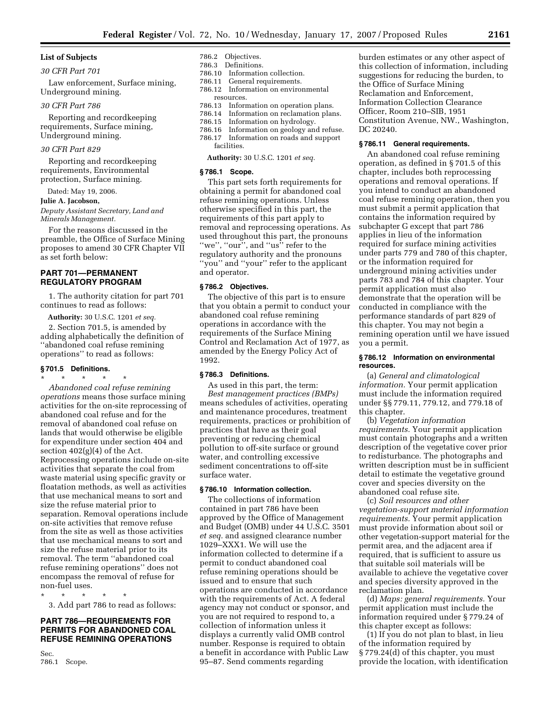#### **List of Subjects**

#### *30 CFR Part 701*

Law enforcement, Surface mining, Underground mining.

#### *30 CFR Part 786*

Reporting and recordkeeping requirements, Surface mining, Underground mining.

# *30 CFR Part 829*

Reporting and recordkeeping requirements, Environmental protection, Surface mining.

Dated: May 19, 2006.

#### **Julie A. Jacobson,**

*Deputy Assistant Secretary, Land and Minerals Management.* 

For the reasons discussed in the preamble, the Office of Surface Mining proposes to amend 30 CFR Chapter VII as set forth below:

# **PART 701—PERMANENT REGULATORY PROGRAM**

1. The authority citation for part 701 continues to read as follows:

**Authority:** 30 U.S.C. 1201 *et seq.*  2. Section 701.5, is amended by adding alphabetically the definition of ''abandoned coal refuse remining operations'' to read as follows:

#### **§ 701.5 Definitions.**

\* \* \* \* \*

*Abandoned coal refuse remining operations* means those surface mining activities for the on-site reprocessing of abandoned coal refuse and for the removal of abandoned coal refuse on lands that would otherwise be eligible for expenditure under section 404 and section  $402(g)(4)$  of the Act. Reprocessing operations include on-site activities that separate the coal from waste material using specific gravity or floatation methods, as well as activities that use mechanical means to sort and size the refuse material prior to separation. Removal operations include on-site activities that remove refuse from the site as well as those activities that use mechanical means to sort and size the refuse material prior to its removal. The term ''abandoned coal refuse remining operations'' does not encompass the removal of refuse for non-fuel uses.

\* \* \* \* \* 3. Add part 786 to read as follows:

# **PART 786—REQUIREMENTS FOR PERMITS FOR ABANDONED COAL REFUSE REMINING OPERATIONS**

Sec. 786.1 Scope.

# 786.2 Objectives.

786.3 Definitions.

- 786.10 Information collection.
- 786.11 General requirements. 786.12 Information on environmental
- resources.<br>786.13 Inform
- 786.13 Information on operation plans. Information on reclamation plans.
- 786.15 Information on hydrology.
- 
- 786.16 Information on geology and refuse. Information on roads and support facilities.

**Authority:** 30 U.S.C. 1201 *et seq.* 

#### **§ 786.1 Scope.**

This part sets forth requirements for obtaining a permit for abandoned coal refuse remining operations. Unless otherwise specified in this part, the requirements of this part apply to removal and reprocessing operations. As used throughout this part, the pronouns "we", "our", and "us" refer to the regulatory authority and the pronouns ''you'' and ''your'' refer to the applicant and operator.

#### **§ 786.2 Objectives.**

The objective of this part is to ensure that you obtain a permit to conduct your abandoned coal refuse remining operations in accordance with the requirements of the Surface Mining Control and Reclamation Act of 1977, as amended by the Energy Policy Act of 1992.

# **§ 786.3 Definitions.**

As used in this part, the term: *Best management practices (BMPs)*  means schedules of activities, operating and maintenance procedures, treatment requirements, practices or prohibition of practices that have as their goal preventing or reducing chemical pollution to off-site surface or ground water, and controlling excessive sediment concentrations to off-site surface water.

# **§ 786.10 Information collection.**

The collections of information contained in part 786 have been approved by the Office of Management and Budget (OMB) under 44 U.S.C. 3501 *et seq.* and assigned clearance number 1029–XXX1. We will use the information collected to determine if a permit to conduct abandoned coal refuse remining operations should be issued and to ensure that such operations are conducted in accordance with the requirements of Act. A federal agency may not conduct or sponsor, and you are not required to respond to, a collection of information unless it displays a currently valid OMB control number. Response is required to obtain a benefit in accordance with Public Law 95–87. Send comments regarding

burden estimates or any other aspect of this collection of information, including suggestions for reducing the burden, to the Office of Surface Mining Reclamation and Enforcement, Information Collection Clearance Officer, Room 210–SIB, 1951 Constitution Avenue, NW., Washington, DC 20240.

#### **§ 786.11 General requirements.**

An abandoned coal refuse remining operation, as defined in § 701.5 of this chapter, includes both reprocessing operations and removal operations. If you intend to conduct an abandoned coal refuse remining operation, then you must submit a permit application that contains the information required by subchapter G except that part 786 applies in lieu of the information required for surface mining activities under parts 779 and 780 of this chapter, or the information required for underground mining activities under parts 783 and 784 of this chapter. Your permit application must also demonstrate that the operation will be conducted in compliance with the performance standards of part 829 of this chapter. You may not begin a remining operation until we have issued you a permit.

#### **§ 786.12 Information on environmental resources.**

(a) *General and climatological information.* Your permit application must include the information required under §§ 779.11, 779.12, and 779.18 of this chapter.

(b) *Vegetation information requirements.* Your permit application must contain photographs and a written description of the vegetative cover prior to redisturbance. The photographs and written description must be in sufficient detail to estimate the vegetative ground cover and species diversity on the abandoned coal refuse site.

(c) *Soil resources and other vegetation-support material information requirements.* Your permit application must provide information about soil or other vegetation-support material for the permit area, and the adjacent area if required, that is sufficient to assure us that suitable soil materials will be available to achieve the vegetative cover and species diversity approved in the reclamation plan.

(d) *Maps: general requirements.* Your permit application must include the information required under § 779.24 of this chapter except as follows:

(1) If you do not plan to blast, in lieu of the information required by § 779.24(d) of this chapter, you must provide the location, with identification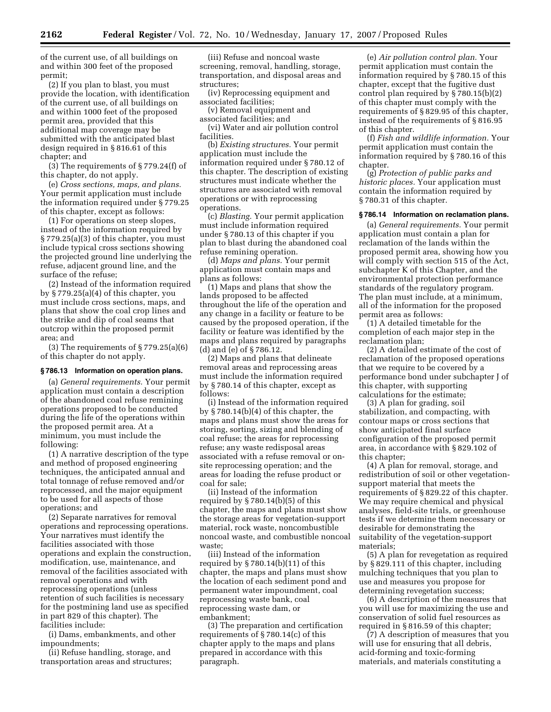of the current use, of all buildings on and within 300 feet of the proposed permit;

(2) If you plan to blast, you must provide the location, with identification of the current use, of all buildings on and within 1000 feet of the proposed permit area, provided that this additional map coverage may be submitted with the anticipated blast design required in § 816.61 of this chapter; and

(3) The requirements of § 779.24(f) of this chapter, do not apply.

(e) *Cross sections, maps, and plans.*  Your permit application must include the information required under § 779.25 of this chapter, except as follows:

(1) For operations on steep slopes, instead of the information required by § 779.25(a)(3) of this chapter, you must include typical cross sections showing the projected ground line underlying the refuse, adjacent ground line, and the surface of the refuse;

(2) Instead of the information required by § 779.25(a)(4) of this chapter, you must include cross sections, maps, and plans that show the coal crop lines and the strike and dip of coal seams that outcrop within the proposed permit area; and

(3) The requirements of § 779.25(a)(6) of this chapter do not apply.

## **§ 786.13 Information on operation plans.**

(a) *General requirements.* Your permit application must contain a description of the abandoned coal refuse remining operations proposed to be conducted during the life of the operations within the proposed permit area. At a minimum, you must include the following:

(1) A narrative description of the type and method of proposed engineering techniques, the anticipated annual and total tonnage of refuse removed and/or reprocessed, and the major equipment to be used for all aspects of those operations; and

(2) Separate narratives for removal operations and reprocessing operations. Your narratives must identify the facilities associated with those operations and explain the construction, modification, use, maintenance, and removal of the facilities associated with removal operations and with reprocessing operations (unless retention of such facilities is necessary for the postmining land use as specified in part 829 of this chapter). The facilities include:

(i) Dams, embankments, and other impoundments;

(ii) Refuse handling, storage, and transportation areas and structures;

(iii) Refuse and noncoal waste screening, removal, handling, storage, transportation, and disposal areas and structures;

(iv) Reprocessing equipment and associated facilities;

(v) Removal equipment and associated facilities; and

(vi) Water and air pollution control facilities.

(b) *Existing structures.* Your permit application must include the information required under § 780.12 of this chapter. The description of existing structures must indicate whether the structures are associated with removal operations or with reprocessing operations.

(c) *Blasting.* Your permit application must include information required under § 780.13 of this chapter if you plan to blast during the abandoned coal refuse remining operation.

(d) *Maps and plans.* Your permit application must contain maps and plans as follows:

(1) Maps and plans that show the lands proposed to be affected throughout the life of the operation and any change in a facility or feature to be caused by the proposed operation, if the facility or feature was identified by the maps and plans required by paragraphs (d) and (e) of § 786.12.

(2) Maps and plans that delineate removal areas and reprocessing areas must include the information required by § 780.14 of this chapter, except as follows:

(i) Instead of the information required by § 780.14(b)(4) of this chapter, the maps and plans must show the areas for storing, sorting, sizing and blending of coal refuse; the areas for reprocessing refuse; any waste redisposal areas associated with a refuse removal or onsite reprocessing operation; and the areas for loading the refuse product or coal for sale;

(ii) Instead of the information required by  $\S 780.14(b)(5)$  of this chapter, the maps and plans must show the storage areas for vegetation-support material, rock waste, noncombustible noncoal waste, and combustible noncoal waste;

(iii) Instead of the information required by § 780.14(b)(11) of this chapter, the maps and plans must show the location of each sediment pond and permanent water impoundment, coal reprocessing waste bank, coal reprocessing waste dam, or embankment;

(3) The preparation and certification requirements of § 780.14(c) of this chapter apply to the maps and plans prepared in accordance with this paragraph.

(e) *Air pollution control plan.* Your permit application must contain the information required by § 780.15 of this chapter, except that the fugitive dust control plan required by § 780.15(b)(2) of this chapter must comply with the requirements of § 829.95 of this chapter, instead of the requirements of § 816.95 of this chapter.

(f) *Fish and wildlife information.* Your permit application must contain the information required by § 780.16 of this chapter.

(g) *Protection of public parks and historic places.* Your application must contain the information required by § 780.31 of this chapter.

#### **§ 786.14 Information on reclamation plans.**

(a) *General requirements.* Your permit application must contain a plan for reclamation of the lands within the proposed permit area, showing how you will comply with section 515 of the Act, subchapter K of this Chapter, and the environmental protection performance standards of the regulatory program. The plan must include, at a minimum, all of the information for the proposed permit area as follows:

(1) A detailed timetable for the completion of each major step in the reclamation plan;

(2) A detailed estimate of the cost of reclamation of the proposed operations that we require to be covered by a performance bond under subchapter J of this chapter, with supporting calculations for the estimate;

(3) A plan for grading, soil stabilization, and compacting, with contour maps or cross sections that show anticipated final surface configuration of the proposed permit area, in accordance with § 829.102 of this chapter;

(4) A plan for removal, storage, and redistribution of soil or other vegetationsupport material that meets the requirements of § 829.22 of this chapter. We may require chemical and physical analyses, field-site trials, or greenhouse tests if we determine them necessary or desirable for demonstrating the suitability of the vegetation-support materials;

(5) A plan for revegetation as required by § 829.111 of this chapter, including mulching techniques that you plan to use and measures you propose for determining revegetation success;

(6) A description of the measures that you will use for maximizing the use and conservation of solid fuel resources as required in § 816.59 of this chapter;

(7) A description of measures that you will use for ensuring that all debris, acid-forming and toxic-forming materials, and materials constituting a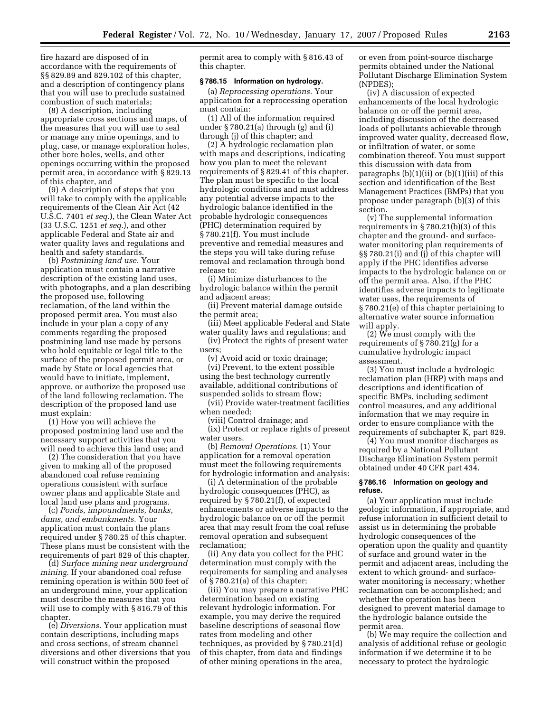fire hazard are disposed of in accordance with the requirements of §§ 829.89 and 829.102 of this chapter, and a description of contingency plans that you will use to preclude sustained combustion of such materials;

(8) A description, including appropriate cross sections and maps, of the measures that you will use to seal or manage any mine openings, and to plug, case, or manage exploration holes, other bore holes, wells, and other openings occurring within the proposed permit area, in accordance with § 829.13 of this chapter, and

(9) A description of steps that you will take to comply with the applicable requirements of the Clean Air Act (42 U.S.C. 7401 *et seq.*), the Clean Water Act (33 U.S.C. 1251 *et seq.*), and other applicable Federal and State air and water quality laws and regulations and health and safety standards.

(b) *Postmining land use.* Your application must contain a narrative description of the existing land uses, with photographs, and a plan describing the proposed use, following reclamation, of the land within the proposed permit area. You must also include in your plan a copy of any comments regarding the proposed postmining land use made by persons who hold equitable or legal title to the surface of the proposed permit area, or made by State or local agencies that would have to initiate, implement, approve, or authorize the proposed use of the land following reclamation. The description of the proposed land use must explain:

(1) How you will achieve the proposed postmining land use and the necessary support activities that you will need to achieve this land use; and

(2) The consideration that you have given to making all of the proposed abandoned coal refuse remining operations consistent with surface owner plans and applicable State and local land use plans and programs.

(c) *Ponds, impoundments, banks, dams, and embankments.* Your application must contain the plans required under § 780.25 of this chapter. These plans must be consistent with the requirements of part 829 of this chapter.

(d) *Surface mining near underground mining.* If your abandoned coal refuse remining operation is within 500 feet of an underground mine, your application must describe the measures that you will use to comply with § 816.79 of this chapter.

(e) *Diversions.* Your application must contain descriptions, including maps and cross sections, of stream channel diversions and other diversions that you will construct within the proposed

permit area to comply with § 816.43 of this chapter.

# **§ 786.15 Information on hydrology.**

(a) *Reprocessing operations.* Your application for a reprocessing operation must contain:

(1) All of the information required under  $\S 780.21$ (a) through (g) and (i) through (j) of this chapter; and

(2) A hydrologic reclamation plan with maps and descriptions, indicating how you plan to meet the relevant requirements of § 829.41 of this chapter. The plan must be specific to the local hydrologic conditions and must address any potential adverse impacts to the hydrologic balance identified in the probable hydrologic consequences (PHC) determination required by § 780.21(f). You must include preventive and remedial measures and the steps you will take during refuse removal and reclamation through bond release to:

(i) Minimize disturbances to the hydrologic balance within the permit and adjacent areas;

(ii) Prevent material damage outside the permit area;

(iii) Meet applicable Federal and State water quality laws and regulations; and

(iv) Protect the rights of present water users;

(v) Avoid acid or toxic drainage; (vi) Prevent, to the extent possible using the best technology currently available, additional contributions of suspended solids to stream flow;

(vii) Provide water-treatment facilities when needed;

(viii) Control drainage; and

(ix) Protect or replace rights of present water users.

(b) *Removal Operations.* (1) Your application for a removal operation must meet the following requirements for hydrologic information and analysis:

(i) A determination of the probable hydrologic consequences (PHC), as required by § 780.21(f), of expected enhancements or adverse impacts to the hydrologic balance on or off the permit area that may result from the coal refuse removal operation and subsequent reclamation;

(ii) Any data you collect for the PHC determination must comply with the requirements for sampling and analyses of § 780.21(a) of this chapter;

(iii) You may prepare a narrative PHC determination based on existing relevant hydrologic information. For example, you may derive the required baseline descriptions of seasonal flow rates from modeling and other techniques, as provided by § 780.21(d) of this chapter, from data and findings of other mining operations in the area,

or even from point-source discharge permits obtained under the National Pollutant Discharge Elimination System (NPDES);

(iv) A discussion of expected enhancements of the local hydrologic balance on or off the permit area, including discussion of the decreased loads of pollutants achievable through improved water quality, decreased flow, or infiltration of water, or some combination thereof. You must support this discussion with data from paragraphs  $(b)(1)(ii)$  or  $(b)(1)(iii)$  of this section and identification of the Best Management Practices (BMPs) that you propose under paragraph (b)(3) of this section.

(v) The supplemental information requirements in § 780.21(b)(3) of this chapter and the ground- and surfacewater monitoring plan requirements of §§ 780.21(i) and (j) of this chapter will apply if the PHC identifies adverse impacts to the hydrologic balance on or off the permit area. Also, if the PHC identifies adverse impacts to legitimate water uses, the requirements of § 780.21(e) of this chapter pertaining to alternative water source information will apply.

(2) We must comply with the requirements of § 780.21(g) for a cumulative hydrologic impact assessment.

(3) You must include a hydrologic reclamation plan (HRP) with maps and descriptions and identification of specific BMPs, including sediment control measures, and any additional information that we may require in order to ensure compliance with the requirements of subchapter K, part 829.

(4) You must monitor discharges as required by a National Pollutant Discharge Elimination System permit obtained under 40 CFR part 434.

#### **§ 786.16 Information on geology and refuse.**

(a) Your application must include geologic information, if appropriate, and refuse information in sufficient detail to assist us in determining the probable hydrologic consequences of the operation upon the quality and quantity of surface and ground water in the permit and adjacent areas, including the extent to which ground- and surfacewater monitoring is necessary; whether reclamation can be accomplished; and whether the operation has been designed to prevent material damage to the hydrologic balance outside the permit area.

(b) We may require the collection and analysis of additional refuse or geologic information if we determine it to be necessary to protect the hydrologic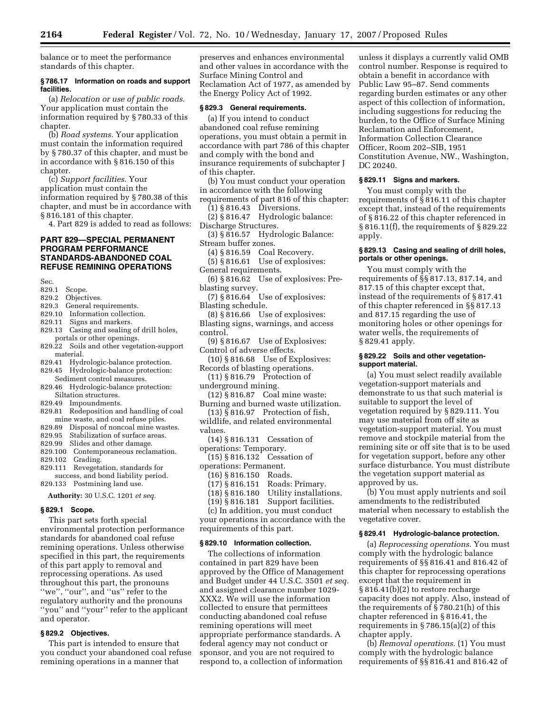balance or to meet the performance standards of this chapter.

#### **§ 786.17 Information on roads and support facilities.**

(a) *Relocation or use of public roads.*  Your application must contain the information required by § 780.33 of this chapter.

(b) *Road systems.* Your application must contain the information required by § 780.37 of this chapter, and must be in accordance with § 816.150 of this chapter.

(c) *Support facilities.* Your application must contain the information required by § 780.38 of this chapter, and must be in accordance with § 816.181 of this chapter.

4. Part 829 is added to read as follows:

# **PART 829—SPECIAL PERMANENT PROGRAM PERFORMANCE STANDARDS-ABANDONED COAL REFUSE REMINING OPERATIONS**

- Sec.<br>829.1 Scope.
- 829.2 Objectives.
- 829.3 General requirements.
- 829.10 Information collection.
- 829.11 Signs and markers.
- 829.13 Casing and sealing of drill holes, portals or other openings.
- 829.22 Soils and other vegetation-support material.
- 829.41 Hydrologic-balance protection.
- 829.45 Hydrologic-balance protection: Sediment control measures.
- 829.46 Hydrologic-balance protection: Siltation structures.
- 829.49 Impoundments.
- 829.81 Redeposition and handling of coal
- mine waste, and coal refuse piles. 829.89 Disposal of noncoal mine wastes.
- 829.95 Stabilization of surface areas.
- 829.99 Slides and other damage.
- 829.100 Contemporaneous reclamation.<br>829.102 Grading.
- Grading.
- 829.111 Revegetation, standards for
- success, and bond liability period. 829.133 Postmining land use.

**Authority:** 30 U.S.C. 1201 *et seq.* 

#### **§ 829.1 Scope.**

This part sets forth special environmental protection performance standards for abandoned coal refuse remining operations. Unless otherwise specified in this part, the requirements of this part apply to removal and reprocessing operations. As used throughout this part, the pronouns "we", "our", and "us" refer to the regulatory authority and the pronouns ''you'' and ''your'' refer to the applicant and operator.

# **§ 829.2 Objectives.**

This part is intended to ensure that you conduct your abandoned coal refuse remining operations in a manner that

preserves and enhances environmental and other values in accordance with the Surface Mining Control and Reclamation Act of 1977, as amended by the Energy Policy Act of 1992.

#### **§ 829.3 General requirements.**

(a) If you intend to conduct abandoned coal refuse remining operations, you must obtain a permit in accordance with part 786 of this chapter and comply with the bond and insurance requirements of subchapter J of this chapter.

(b) You must conduct your operation in accordance with the following

- requirements of part 816 of this chapter:
	- (1) § 816.43 Diversions.

(2) § 816.47 Hydrologic balance: Discharge Structures.

- (3) § 816.57 Hydrologic Balance:
- Stream buffer zones.

(4) § 816.59 Coal Recovery.

(5) § 816.61 Use of explosives: General requirements.

- (6) § 816.62 Use of explosives: Pre-
- blasting survey. (7) § 816.64 Use of explosives:
- Blasting schedule.

(8) § 816.66 Use of explosives: Blasting signs, warnings, and access control.

- (9) § 816.67 Use of Explosives: Control of adverse effects.
- (10) § 816.68 Use of Explosives: Records of blasting operations.
- (11) § 816.79 Protection of
- underground mining. (12) § 816.87 Coal mine waste:
- Burning and burned waste utilization. (13) § 816.97 Protection of fish,
- wildlife, and related environmental values.
- (14) § 816.131 Cessation of operations: Temporary.
- (15) § 816.132 Cessation of
- operations: Permanent.
	- (16) § 816.150 Roads.
	- Roads: Primary.
	- (18) § 816.180 Utility installations.

(19) § 816.181 Support facilities.

(c) In addition, you must conduct

your operations in accordance with the requirements of this part.

# **§ 829.10 Information collection.**

The collections of information contained in part 829 have been approved by the Office of Management and Budget under 44 U.S.C. 3501 *et seq.*  and assigned clearance number 1029- XXX2. We will use the information collected to ensure that permittees conducting abandoned coal refuse remining operations will meet appropriate performance standards. A federal agency may not conduct or sponsor, and you are not required to respond to, a collection of information

unless it displays a currently valid OMB control number. Response is required to obtain a benefit in accordance with Public Law 95–87. Send comments regarding burden estimates or any other aspect of this collection of information, including suggestions for reducing the burden, to the Office of Surface Mining Reclamation and Enforcement, Information Collection Clearance Officer, Room 202–SIB, 1951 Constitution Avenue, NW., Washington, DC 20240.

#### **§ 829.11 Signs and markers.**

You must comply with the requirements of § 816.11 of this chapter except that, instead of the requirements of § 816.22 of this chapter referenced in § 816.11(f), the requirements of § 829.22 apply.

## **§ 829.13 Casing and sealing of drill holes, portals or other openings.**

You must comply with the requirements of §§ 817.13, 817.14, and 817.15 of this chapter except that, instead of the requirements of § 817.41 of this chapter referenced in §§ 817.13 and 817.15 regarding the use of monitoring holes or other openings for water wells, the requirements of § 829.41 apply.

#### **§ 829.22 Soils and other vegetationsupport material.**

(a) You must select readily available vegetation-support materials and demonstrate to us that such material is suitable to support the level of vegetation required by § 829.111. You may use material from off site as vegetation-support material. You must remove and stockpile material from the remining site or off site that is to be used for vegetation support, before any other surface disturbance. You must distribute the vegetation support material as approved by us.

(b) You must apply nutrients and soil amendments to the redistributed material when necessary to establish the vegetative cover.

#### **§ 829.41 Hydrologic-balance protection.**

(a) *Reprocessing operations.* You must comply with the hydrologic balance requirements of §§ 816.41 and 816.42 of this chapter for reprocessing operations except that the requirement in § 816.41(b)(2) to restore recharge capacity does not apply. Also, instead of the requirements of § 780.21(h) of this chapter referenced in § 816.41, the requirements in § 786.15(a)(2) of this chapter apply.

(b) *Removal operations.* (1) You must comply with the hydrologic balance requirements of §§ 816.41 and 816.42 of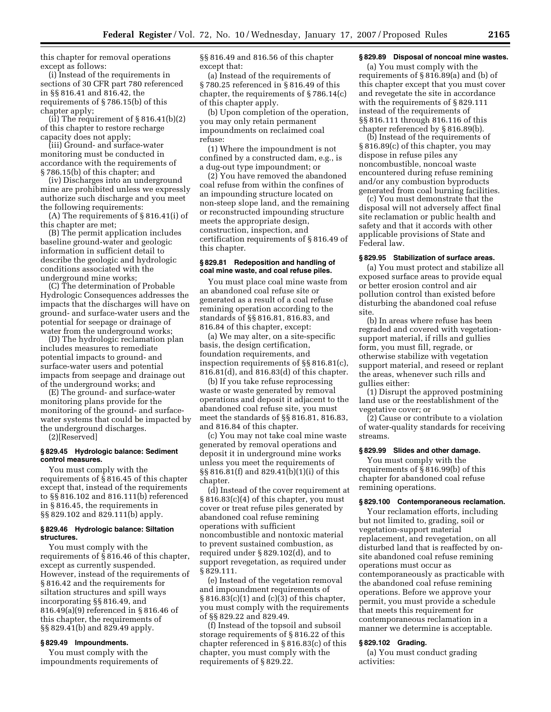this chapter for removal operations except as follows:

(i) Instead of the requirements in sections of 30 CFR part 780 referenced in §§ 816.41 and 816.42, the requirements of § 786.15(b) of this chapter apply;

(ii) The requirement of  $\S 816.41(b)(2)$ of this chapter to restore recharge capacity does not apply;

(iii) Ground- and surface-water monitoring must be conducted in accordance with the requirements of § 786.15(b) of this chapter; and

(iv) Discharges into an underground mine are prohibited unless we expressly authorize such discharge and you meet the following requirements:

(A) The requirements of § 816.41(i) of this chapter are met;

(B) The permit application includes baseline ground-water and geologic information in sufficient detail to describe the geologic and hydrologic conditions associated with the underground mine works;

(C) The determination of Probable Hydrologic Consequences addresses the impacts that the discharges will have on ground- and surface-water users and the potential for seepage or drainage of water from the underground works;

(D) The hydrologic reclamation plan includes measures to remediate potential impacts to ground- and surface-water users and potential impacts from seepage and drainage out of the underground works; and

(E) The ground- and surface-water monitoring plans provide for the monitoring of the ground- and surfacewater systems that could be impacted by the underground discharges.

(2)[Reserved]

#### **§ 829.45 Hydrologic balance: Sediment control measures.**

You must comply with the requirements of § 816.45 of this chapter except that, instead of the requirements to §§ 816.102 and 816.111(b) referenced in § 816.45, the requirements in §§ 829.102 and 829.111(b) apply.

## **§ 829.46 Hydrologic balance: Siltation structures.**

You must comply with the requirements of § 816.46 of this chapter, except as currently suspended. However, instead of the requirements of § 816.42 and the requirements for siltation structures and spill ways incorporating §§ 816.49, and 816.49(a)(9) referenced in § 816.46 of this chapter, the requirements of §§ 829.41(b) and 829.49 apply.

#### **§ 829.49 Impoundments.**

You must comply with the impoundments requirements of §§ 816.49 and 816.56 of this chapter except that:

(a) Instead of the requirements of § 780.25 referenced in § 816.49 of this chapter, the requirements of § 786.14(c) of this chapter apply.

(b) Upon completion of the operation, you may only retain permanent impoundments on reclaimed coal refuse:

(1) Where the impoundment is not confined by a constructed dam, e.g., is a dug-out type impoundment; or

(2) You have removed the abandoned coal refuse from within the confines of an impounding structure located on non-steep slope land, and the remaining or reconstructed impounding structure meets the appropriate design, construction, inspection, and certification requirements of § 816.49 of this chapter.

#### **§ 829.81 Redeposition and handling of coal mine waste, and coal refuse piles.**

You must place coal mine waste from an abandoned coal refuse site or generated as a result of a coal refuse remining operation according to the standards of §§ 816.81, 816.83, and 816.84 of this chapter, except:

(a) We may alter, on a site-specific basis, the design certification, foundation requirements, and inspection requirements of §§ 816.81(c), 816.81(d), and 816.83(d) of this chapter.

(b) If you take refuse reprocessing waste or waste generated by removal operations and deposit it adjacent to the abandoned coal refuse site, you must meet the standards of §§ 816.81, 816.83, and 816.84 of this chapter.

(c) You may not take coal mine waste generated by removal operations and deposit it in underground mine works unless you meet the requirements of §§ 816.81(f) and 829.41(b)(1)(i) of this chapter.

(d) Instead of the cover requirement at § 816.83(c)(4) of this chapter, you must cover or treat refuse piles generated by abandoned coal refuse remining operations with sufficient noncombustible and nontoxic material to prevent sustained combustion, as required under § 829.102(d), and to support revegetation, as required under § 829.111.

(e) Instead of the vegetation removal and impoundment requirements of § 816.83(c)(1) and (c)(3) of this chapter, you must comply with the requirements of §§ 829.22 and 829.49.

(f) Instead of the topsoil and subsoil storage requirements of § 816.22 of this chapter referenced in § 816.83(c) of this chapter, you must comply with the requirements of § 829.22.

#### **§ 829.89 Disposal of noncoal mine wastes.**

(a) You must comply with the requirements of § 816.89(a) and (b) of this chapter except that you must cover and revegetate the site in accordance with the requirements of § 829.111 instead of the requirements of §§ 816.111 through 816.116 of this chapter referenced by § 816.89(b).

(b) Instead of the requirements of § 816.89(c) of this chapter, you may dispose in refuse piles any noncombustible, noncoal waste encountered during refuse remining and/or any combustion byproducts generated from coal burning facilities.

(c) You must demonstrate that the disposal will not adversely affect final site reclamation or public health and safety and that it accords with other applicable provisions of State and Federal law.

#### **§ 829.95 Stabilization of surface areas.**

(a) You must protect and stabilize all exposed surface areas to provide equal or better erosion control and air pollution control than existed before disturbing the abandoned coal refuse site.

(b) In areas where refuse has been regraded and covered with vegetationsupport material, if rills and gullies form, you must fill, regrade, or otherwise stabilize with vegetation support material, and reseed or replant the areas, whenever such rills and gullies either:

(1) Disrupt the approved postmining land use or the reestablishment of the vegetative cover; or

(2) Cause or contribute to a violation of water-quality standards for receiving streams.

#### **§ 829.99 Slides and other damage.**

You must comply with the requirements of § 816.99(b) of this chapter for abandoned coal refuse remining operations.

#### **§ 829.100 Contemporaneous reclamation.**

Your reclamation efforts, including but not limited to, grading, soil or vegetation-support material replacement, and revegetation, on all disturbed land that is reaffected by onsite abandoned coal refuse remining operations must occur as contemporaneously as practicable with the abandoned coal refuse remining operations. Before we approve your permit, you must provide a schedule that meets this requirement for contemporaneous reclamation in a manner we determine is acceptable.

### **§ 829.102 Grading.**

(a) You must conduct grading activities: